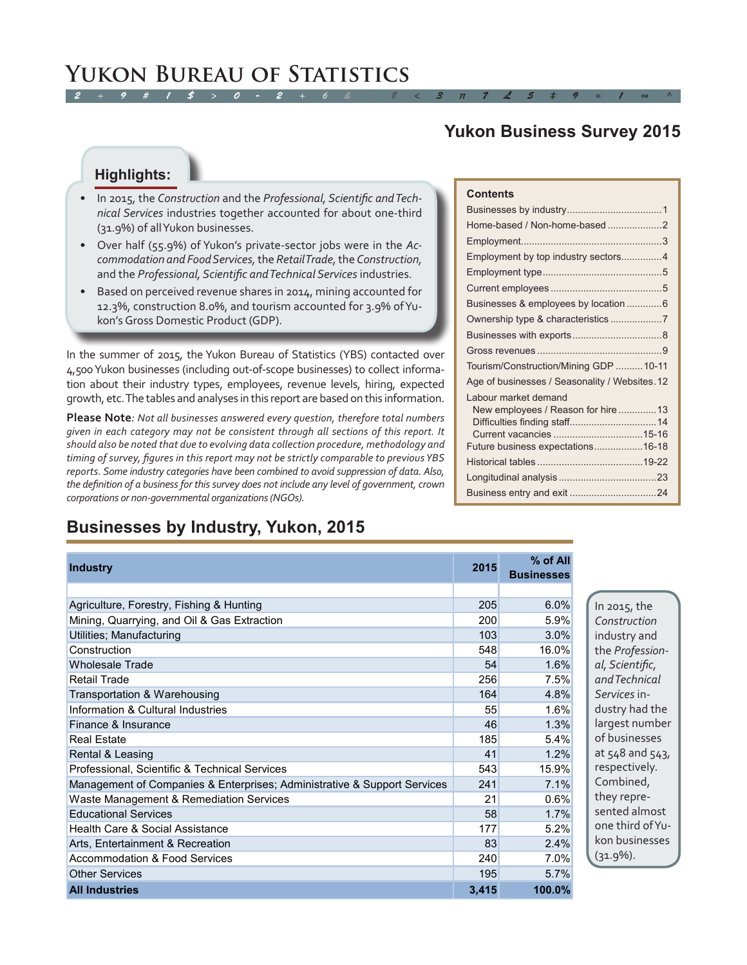### *2 ÷ 9 # 1 \$ > 0 - 2 + 6 & ± 8 < 3 π 7 £ 5 ‡ 9 ≈ 1 ∞ ^* **Yukon Bureau of Statistics**

## **Yukon Business Survey 2015**

### **Highlights:**

- • In 2015, the *Construction* and the *Professional, Scientific and Technical Services* industries together accounted for about one-third (31.9%) of all Yukon businesses.
- • Over half (55.9%) of Yukon's private-sector jobs were in the *Accommodation and Food Services,* the *Retail Trade,* the *Construction,*  and the *Professional, Scientific and Technical Services* industries.
- Based on perceived revenue shares in 2014, mining accounted for 12.3%, construction 8.0%, and tourism accounted for 3.9% of Yukon's Gross Domestic Product (GDP).

In the summer of 2015, the Yukon Bureau of Statistics (YBS) contacted over 4,500 Yukon businesses (including out-of-scope businesses) to collect information about their industry types, employees, revenue levels, hiring, expected growth, etc. The tables and analyses in this report are based on this information.

**Please Note***: Not all businesses answered every question, therefore total numbers given in each category may not be consistent through all sections of this report. It should also be noted that due to evolving data collection procedure, methodology and timing of survey, figures in this report may not be strictly comparable to previous YBS reports. Some industry categories have been combined to avoid suppression of data. Also, the definition of a business for this survey does not include any level of government, crown corporations or non-governmental organizations (NGOs).* 

## **Businesses by Industry, Yukon, 2015**

| <b>Industry</b>                                                          | 2015  | $%$ of All<br><b>Businesses</b> |
|--------------------------------------------------------------------------|-------|---------------------------------|
|                                                                          |       |                                 |
| Agriculture, Forestry, Fishing & Hunting                                 | 205   | 6.0%                            |
| Mining, Quarrying, and Oil & Gas Extraction                              | 200   | 5.9%                            |
| Utilities; Manufacturing                                                 | 103   | 3.0%                            |
| Construction                                                             | 548   | 16.0%                           |
| Wholesale Trade                                                          | 54    | 1.6%                            |
| <b>Retail Trade</b>                                                      | 256   | 7.5%                            |
| Transportation & Warehousing                                             | 164   | 4.8%                            |
| Information & Cultural Industries                                        | 55    | 1.6%                            |
| Finance & Insurance                                                      | 46    | 1.3%                            |
| <b>Real Estate</b>                                                       | 185   | 5.4%                            |
| Rental & Leasing                                                         | 41    | 1.2%                            |
| Professional, Scientific & Technical Services                            | 543   | 15.9%                           |
| Management of Companies & Enterprises; Administrative & Support Services | 241   | 7.1%                            |
| Waste Management & Remediation Services                                  | 21    | 0.6%                            |
| <b>Educational Services</b>                                              | 58    | 1.7%                            |
| Health Care & Social Assistance                                          | 177   | 5.2%                            |
| Arts, Entertainment & Recreation                                         | 83    | 2.4%                            |
| <b>Accommodation &amp; Food Services</b>                                 | 240   | 7.0%                            |
| <b>Other Services</b>                                                    | 195   | 5.7%                            |
| <b>All Industries</b>                                                    | 3,415 | 100.0%                          |

### **Contents**

| Home-based / Non-home-based2                  |
|-----------------------------------------------|
|                                               |
| Employment by top industry sectors4           |
|                                               |
|                                               |
| Businesses & employees by location  6         |
| Ownership type & characteristics7             |
|                                               |
|                                               |
| Tourism/Construction/Mining GDP 10-11         |
| Age of businesses / Seasonality / Websites.12 |
| Labour market demand                          |
| New employees / Reason for hire13             |
|                                               |
|                                               |
| Future business expectations16-18             |
|                                               |
|                                               |
|                                               |

In 2015, the *Construction*  industry and the *Professional, Scientific, and Technical Services* industry had the largest number of businesses at 548 and 543, respectively. Combined, they represented almost one third of Yukon businesses  $(31.9\%)$ .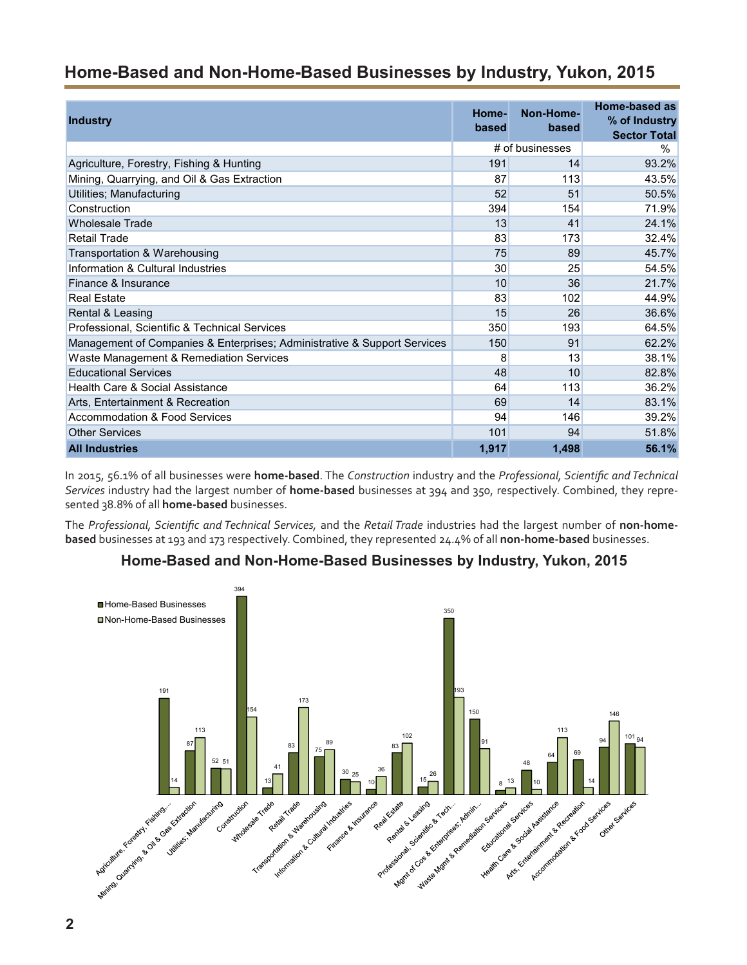## <span id="page-1-0"></span>**Home-Based and Non-Home-Based Businesses by Industry, Yukon, 2015**

| <b>Industry</b>                                                          | Home-<br>based | Non-Home-<br>based | Home-based as<br>% of Industry<br><b>Sector Total</b> |
|--------------------------------------------------------------------------|----------------|--------------------|-------------------------------------------------------|
|                                                                          |                | # of businesses    | %                                                     |
| Agriculture, Forestry, Fishing & Hunting                                 | 191            | 14                 | 93.2%                                                 |
| Mining, Quarrying, and Oil & Gas Extraction                              | 87             | 113                | 43.5%                                                 |
| Utilities; Manufacturing                                                 | 52             | 51                 | 50.5%                                                 |
| Construction                                                             | 394            | 154                | 71.9%                                                 |
| <b>Wholesale Trade</b>                                                   | 13             | 41                 | 24.1%                                                 |
| <b>Retail Trade</b>                                                      | 83             | 173                | 32.4%                                                 |
| Transportation & Warehousing                                             | 75             | 89                 | 45.7%                                                 |
| Information & Cultural Industries                                        | 30             | 25                 | 54.5%                                                 |
| Finance & Insurance                                                      | 10             | 36                 | 21.7%                                                 |
| <b>Real Estate</b>                                                       | 83             | 102                | 44.9%                                                 |
| Rental & Leasing                                                         | 15             | 26                 | 36.6%                                                 |
| Professional, Scientific & Technical Services                            | 350            | 193                | 64.5%                                                 |
| Management of Companies & Enterprises; Administrative & Support Services | 150            | 91                 | 62.2%                                                 |
| Waste Management & Remediation Services                                  | 8              | 13                 | 38.1%                                                 |
| <b>Educational Services</b>                                              | 48             | 10                 | 82.8%                                                 |
| Health Care & Social Assistance                                          | 64             | 113                | 36.2%                                                 |
| Arts, Entertainment & Recreation                                         | 69             | 14                 | 83.1%                                                 |
| Accommodation & Food Services                                            | 94             | 146                | 39.2%                                                 |
| <b>Other Services</b>                                                    | 101            | 94                 | 51.8%                                                 |
| <b>All Industries</b>                                                    | 1,917          | 1,498              | 56.1%                                                 |

In 2015, 56.1% of all businesses were **home-based**. The *Construction* industry and the *Professional, Scientific and Technical Services* industry had the largest number of **home-based** businesses at 394 and 350, respectively. Combined, they represented 38.8% of all **home-based** businesses.

The *Professional, Scientific and Technical Services,* and the *Retail Trade* industries had the largest number of **non-homebased** businesses at 193 and 173 respectively. Combined, they represented 24.4% of all **non-home-based** businesses.

### **Home-Based and Non-Home-Based Businesses by Industry, Yukon, 2015**

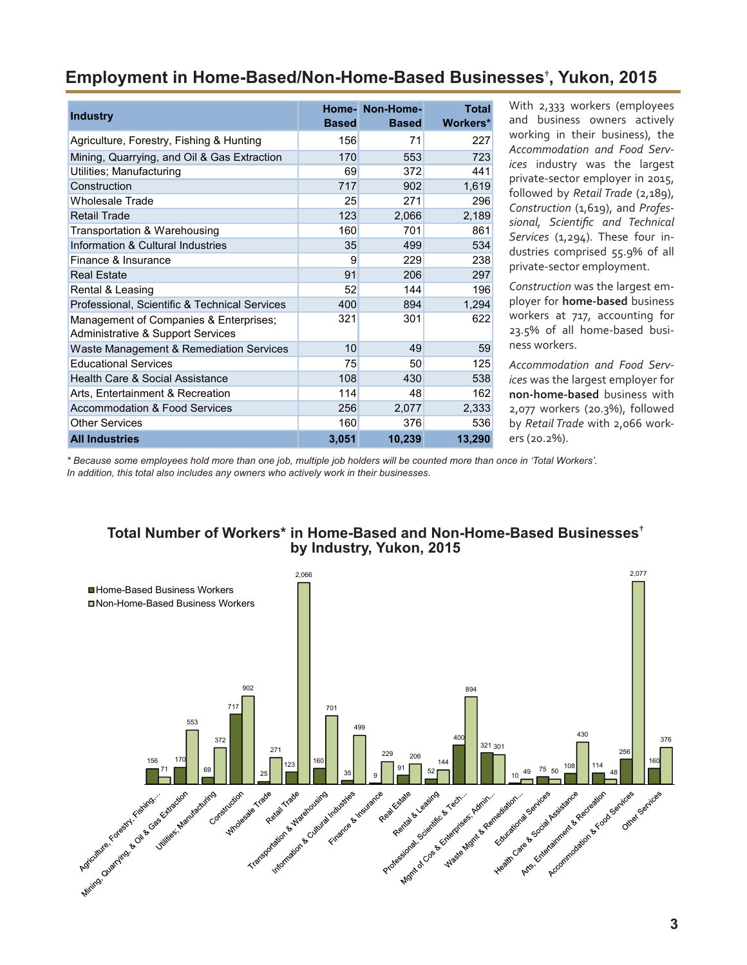## <span id="page-2-0"></span>**Employment in Home-Based/Non-Home-Based Businesses† , Yukon, 2015**

| <b>Industry</b>                                                                        | <b>Based</b> | Home- Non-Home-<br><b>Based</b> | <b>Total</b><br><b>Workers*</b> |
|----------------------------------------------------------------------------------------|--------------|---------------------------------|---------------------------------|
|                                                                                        |              |                                 |                                 |
| Agriculture, Forestry, Fishing & Hunting                                               | 156          | 71                              | 227                             |
| Mining, Quarrying, and Oil & Gas Extraction                                            | 170          | 553                             | 723                             |
| Utilities; Manufacturing                                                               | 69           | 372                             | 441                             |
| Construction                                                                           | 717          | 902                             | 1,619                           |
| <b>Wholesale Trade</b>                                                                 | 25           | 271                             | 296                             |
| <b>Retail Trade</b>                                                                    | 123          | 2,066                           | 2,189                           |
| Transportation & Warehousing                                                           | 160          | 701                             | 861                             |
| Information & Cultural Industries                                                      | 35           | 499                             | 534                             |
| Finance & Insurance                                                                    | 9            | 229                             | 238                             |
| <b>Real Estate</b>                                                                     | 91           | 206                             | 297                             |
| Rental & Leasing                                                                       | 52           | 144                             | 196                             |
| Professional, Scientific & Technical Services                                          | 400          | 894                             | 1,294                           |
| Management of Companies & Enterprises;<br><b>Administrative &amp; Support Services</b> | 321          | 301                             | 622                             |
| Waste Management & Remediation Services                                                | 10           | 49                              | 59                              |
| <b>Educational Services</b>                                                            | 75           | 50                              | 125                             |
| Health Care & Social Assistance                                                        | 108          | 430                             | 538                             |
| Arts, Entertainment & Recreation                                                       | 114          | 48                              | 162                             |
| <b>Accommodation &amp; Food Services</b>                                               | 256          | 2,077                           | 2,333                           |
| <b>Other Services</b>                                                                  | 160          | 376                             | 536                             |
| <b>All Industries</b>                                                                  | 3,051        | 10,239                          | 13,290                          |

With 2,333 workers (employees and business owners actively working in their business), the *Accommodation and Food Services* industry was the largest private-sector employer in 2015, followed by *Retail Trade* (2,189), *Construction* (1,619), and *Professional, Scientific and Technical*  Services (1,294). These four industries comprised 55.9% of all private-sector employment.

*Construction* was the largest employer for **home-based** business workers at 717, accounting for 23.5% of all home-based business workers.

*Accommodation and Food Services* was the largest employer for **non-home-based** business with 2,077 workers (20.3%), followed by *Retail Trade* with 2,066 workers (20.2%).

*\* Because some employees hold more than one job, multiple job holders will be counted more than once in 'Total Workers'. In addition, this total also includes any owners who actively work in their businesses.*

### **Total Number of Workers\* in Home-Based and Non-Home-Based Businesses† by Industry, Yukon, 2015**

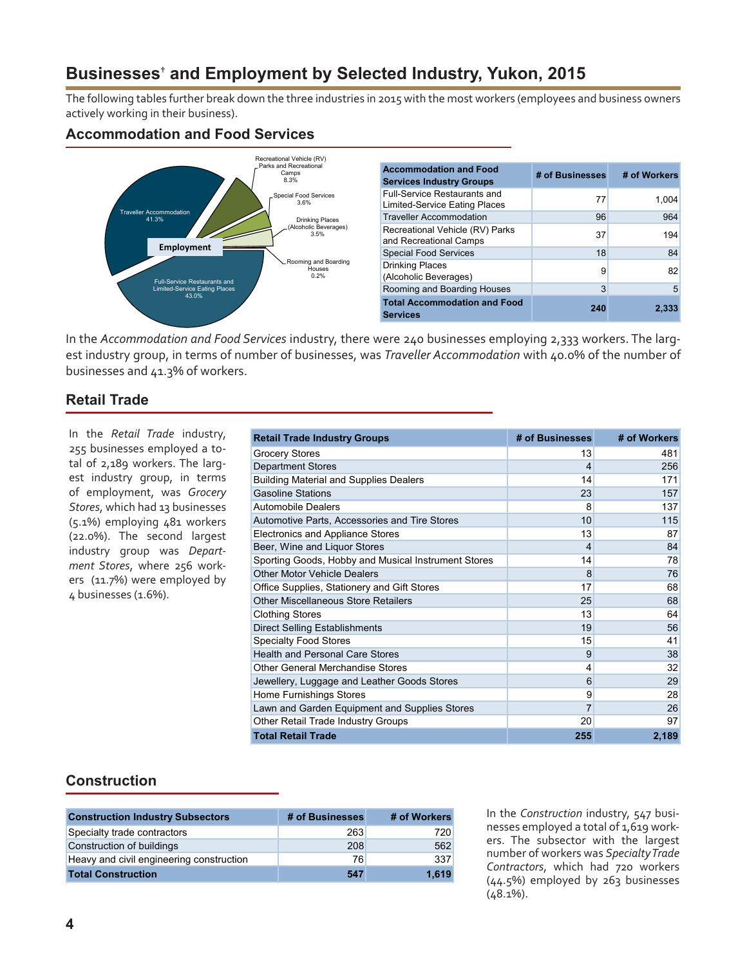## <span id="page-3-0"></span>**Businesses† and Employment by Selected Industry, Yukon, 2015**

The following tables further break down the three industries in 2015 with the most workers (employees and business owners actively working in their business).

### **Accommodation and Food Services**



| <b>Accommodation and Food</b><br><b>Services Industry Groups</b>     | # of Businesses | # of Workers |
|----------------------------------------------------------------------|-----------------|--------------|
| <b>Full-Service Restaurants and</b><br>Limited-Service Eating Places | 77              | 1.004        |
| <b>Traveller Accommodation</b>                                       | 96              | 964          |
| Recreational Vehicle (RV) Parks<br>and Recreational Camps            | 37              | 194          |
| <b>Special Food Services</b>                                         | 18              | 84           |
| <b>Drinking Places</b><br>(Alcoholic Beverages)                      | 9               | 82           |
| Rooming and Boarding Houses                                          | 3               | 5            |
| <b>Total Accommodation and Food</b><br><b>Services</b>               | 240             | 2.333        |

In the *Accommodation and Food Services* industry, there were 240 businesses employing 2,333 workers. The largest industry group, in terms of number of businesses, was *Traveller Accommodation* with 40.0% of the number of businesses and 41.3% of workers.

### **Retail Trade**

In the *Retail Trade* industry, 255 businesses employed a total of 2,189 workers. The largest industry group, in terms of employment, was *Grocery Stores*, which had 13 businesses (5.1%) employing 481 workers (22.0%). The second largest industry group was *Department Stores*, where 256 workers (11.7%) were employed by 4 businesses (1.6%).

| <b>Retail Trade Industry Groups</b>                 | # of Businesses | # of Workers |
|-----------------------------------------------------|-----------------|--------------|
| <b>Grocery Stores</b>                               | 13              | 481          |
| <b>Department Stores</b>                            | 4               | 256          |
| <b>Building Material and Supplies Dealers</b>       | 14              | 171          |
| <b>Gasoline Stations</b>                            | 23              | 157          |
| <b>Automobile Dealers</b>                           | 8               | 137          |
| Automotive Parts, Accessories and Tire Stores       | 10              | 115          |
| Electronics and Appliance Stores                    | 13              | 87           |
| Beer, Wine and Liquor Stores                        | $\overline{4}$  | 84           |
| Sporting Goods, Hobby and Musical Instrument Stores | 14              | 78           |
| <b>Other Motor Vehicle Dealers</b>                  | 8               | 76           |
| Office Supplies, Stationery and Gift Stores         | 17              | 68           |
| Other Miscellaneous Store Retailers                 | 25              | 68           |
| <b>Clothing Stores</b>                              | 13              | 64           |
| <b>Direct Selling Establishments</b>                | 19              | 56           |
| <b>Specialty Food Stores</b>                        | 15              | 41           |
| <b>Health and Personal Care Stores</b>              | 9               | 38           |
| Other General Merchandise Stores                    | 4               | 32           |
| Jewellery, Luggage and Leather Goods Stores         | 6               | 29           |
| <b>Home Furnishings Stores</b>                      | 9               | 28           |
| Lawn and Garden Equipment and Supplies Stores       | 7               | 26           |
| Other Retail Trade Industry Groups                  | 20              | 97           |
| <b>Total Retail Trade</b>                           | 255             | 2,189        |

### **Construction**

| <b>Construction Industry Subsectors</b>  | # of Businesses | # of Workers |
|------------------------------------------|-----------------|--------------|
| Specialty trade contractors              | 263             | 720          |
| Construction of buildings                | 208             | 562          |
| Heavy and civil engineering construction | 76              | 337          |
| <b>Total Construction</b>                | 547             | 1.619        |

In the *Construction* industry, 547 businesses employed a total of 1,619 workers. The subsector with the largest number of workers was *Specialty Trade Contractors*, which had 720 workers (44.5%) employed by 263 businesses (48.1%).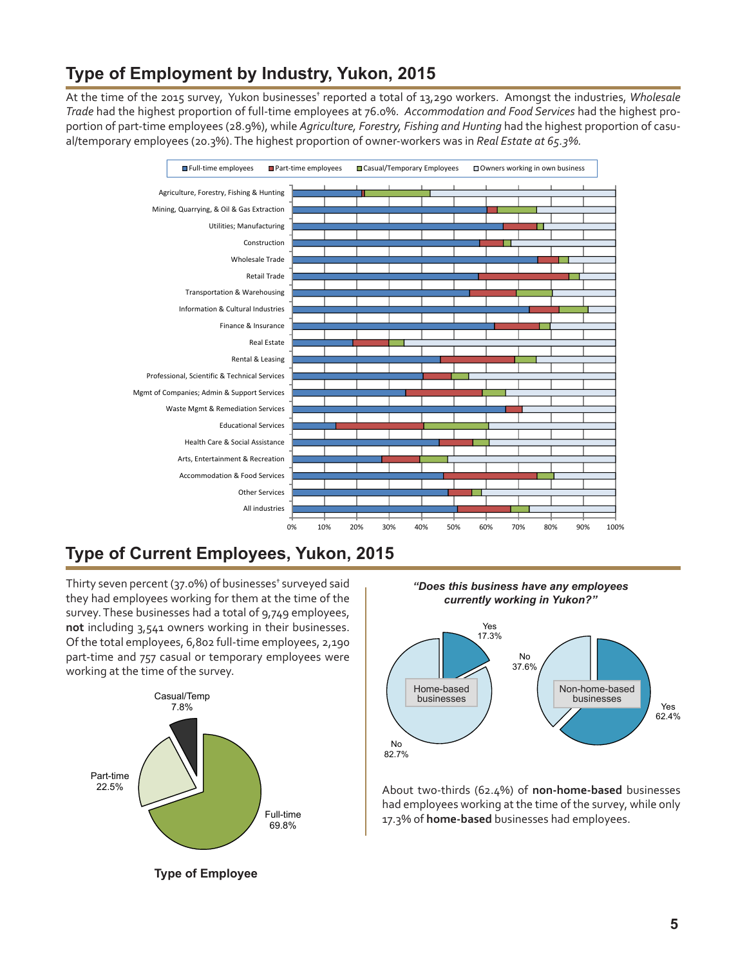## <span id="page-4-0"></span>**Type of Employment by Industry, Yukon, 2015**

At the time of the 2015 survey, Yukon businesses<sup>†</sup> reported a total of 13,290 workers. Amongst the industries, Wholesale *Trade* had the highest proportion of full-time employees at 76.0%. *Accommodation and Food Services* had the highest proportion of part-time employees (28.9%), while *Agriculture, Forestry, Fishing and Hunting* had the highest proportion of casual/temporary employees (20.3%). The highest proportion of owner-workers was in *Real Estate at 65.3%.*



## **Type of Current Employees, Yukon, 2015**

Thirty seven percent (37.0%) of businesses<sup>+</sup> surveyed said they had employees working for them at the time of the survey. These businesses had a total of 9,749 employees, **not** including 3,541 owners working in their businesses. Of the total employees, 6,802 full-time employees, 2,190 part-time and 757 casual or temporary employees were working at the time of the survey.





About two-thirds (62.4%) of **non-home-based** businesses had employees working at the time of the survey, while only 17.3% of **home-based** businesses had employees.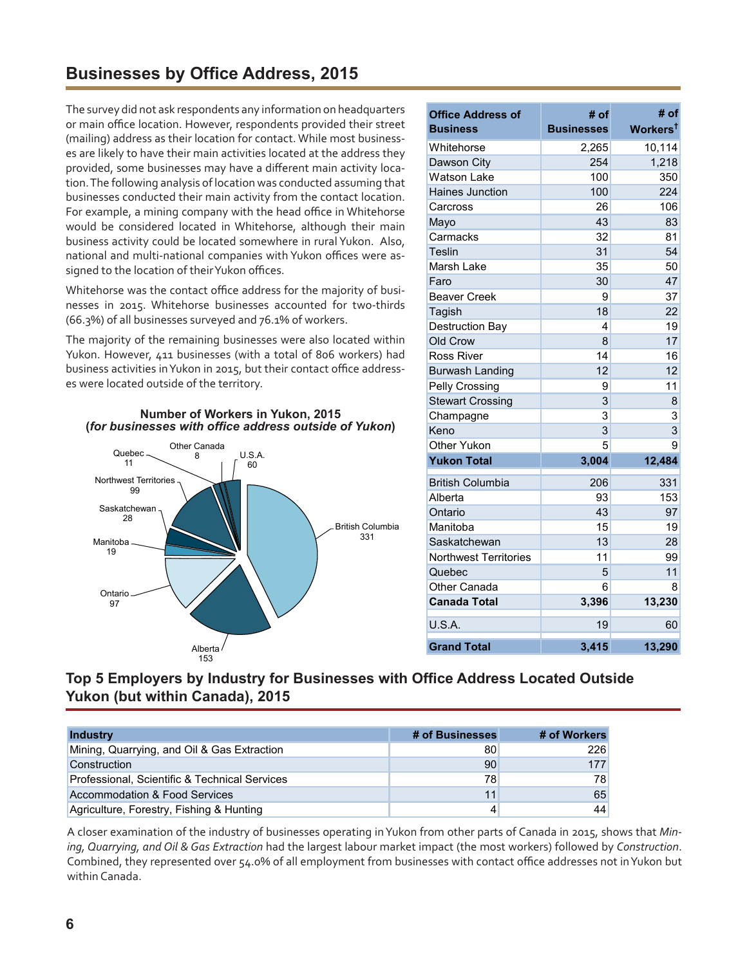## <span id="page-5-0"></span>**Businesses by Office Address, 2015**

The survey did not ask respondents any information on headquarters or main office location. However, respondents provided their street (mailing) address as their location for contact. While most businesses are likely to have their main activities located at the address they provided, some businesses may have a different main activity location. The following analysis of location was conducted assuming that businesses conducted their main activity from the contact location. For example, a mining company with the head office in Whitehorse would be considered located in Whitehorse, although their main business activity could be located somewhere in rural Yukon. Also, national and multi-national companies with Yukon offices were assigned to the location of their Yukon offices.

Whitehorse was the contact office address for the majority of businesses in 2015. Whitehorse businesses accounted for two-thirds (66.3%) of all businesses surveyed and 76.1% of workers.

The majority of the remaining businesses were also located within Yukon. However, 411 businesses (with a total of 806 workers) had business activities inYukon in 2015, but their contact office addresses were located outside of the territory.



| <b>Office Address of</b>     | # of              | # of                 |
|------------------------------|-------------------|----------------------|
| <b>Business</b>              | <b>Businesses</b> | Workers <sup>t</sup> |
| Whitehorse                   | 2,265             | 10,114               |
| Dawson City                  | 254               | 1,218                |
| <b>Watson Lake</b>           | 100               | 350                  |
| <b>Haines Junction</b>       | 100               | 224                  |
| Carcross                     | 26                | 106                  |
| Mayo                         | 43                | 83                   |
| Carmacks                     | 32                | 81                   |
| Teslin                       | 31                | 54                   |
| Marsh Lake                   | 35                | 50                   |
| Faro                         | 30                | 47                   |
| <b>Beaver Creek</b>          | 9                 | 37                   |
| Tagish                       | 18                | 22                   |
| <b>Destruction Bay</b>       | 4                 | 19                   |
| Old Crow                     | 8                 | 17                   |
| <b>Ross River</b>            | 14                | 16                   |
| Burwash Landing              | 12                | 12                   |
| Pelly Crossing               | 9                 | 11                   |
| <b>Stewart Crossing</b>      | 3                 | 8                    |
| Champagne                    | 3                 | 3                    |
| Keno                         | 3                 | $\overline{3}$       |
| Other Yukon                  | 5                 | 9                    |
| <b>Yukon Total</b>           | 3,004             | 12,484               |
| <b>British Columbia</b>      | 206               | 331                  |
| Alberta                      | 93                | 153                  |
| Ontario                      | 43                | 97                   |
| Manitoba                     | 15                | 19                   |
| Saskatchewan                 | 13                | 28                   |
| <b>Northwest Territories</b> | 11                | 99                   |
| Quebec                       | 5                 | 11                   |
| Other Canada                 | 6                 | 8                    |
| <b>Canada Total</b>          | 3,396             | 13,230               |
| U.S.A.                       | 19                | 60                   |
| <b>Grand Total</b>           | 3,415             | 13,290               |

### **Top 5 Employers by Industry for Businesses with Office Address Located Outside Yukon (but within Canada), 2015**

| <b>Industry</b>                               | # of Businesses | # of Workers |
|-----------------------------------------------|-----------------|--------------|
| Mining, Quarrying, and Oil & Gas Extraction   | 80              | 226          |
| Construction                                  | 90              | 177          |
| Professional, Scientific & Technical Services | 78              | 78           |
| Accommodation & Food Services                 | 11              | 65           |
| Agriculture, Forestry, Fishing & Hunting      |                 | 44           |

A closer examination of the industry of businesses operating in Yukon from other parts of Canada in 2015, shows that *Mining, Quarrying, and Oil & Gas Extraction* had the largest labour market impact (the most workers) followed by *Construction*. Combined, they represented over 54.0% of all employment from businesses with contact office addresses not inYukon but within Canada.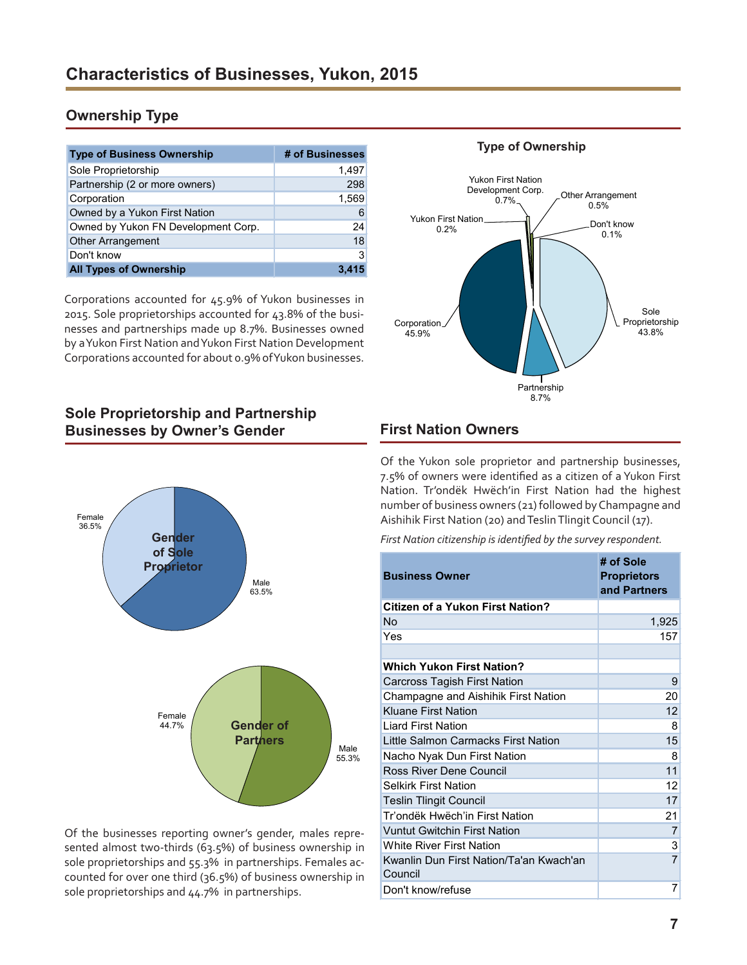### <span id="page-6-0"></span>**Ownership Type**

| <b>Type of Business Ownership</b>   | # of Businesses |
|-------------------------------------|-----------------|
| Sole Proprietorship                 | 1.497           |
| Partnership (2 or more owners)      | 298             |
| Corporation                         | 1,569           |
| Owned by a Yukon First Nation       | 6               |
| Owned by Yukon FN Development Corp. | 24              |
| <b>Other Arrangement</b>            | 18              |
| Don't know                          | 3               |
| <b>All Types of Ownership</b>       |                 |

Corporations accounted for 45.9% of Yukon businesses in 2015. Sole proprietorships accounted for 43.8% of the businesses and partnerships made up 8.7%. Businesses owned by a Yukon First Nation and Yukon First Nation Development Corporations accounted for about 0.9% of Yukon businesses.

### Sole Proprietorship 43.8% Partnership 8.7% Corporation 45.9% Yukon First Nation 0.2% Yukon First Nation Development Corp. organism Corp.<br>0.7% Other Arrangement 0.5% Don't know 0.1%

**Type of Ownership**

### **Sole Proprietorship and Partnership Businesses by Owner's Gender**



Of the businesses reporting owner's gender, males represented almost two-thirds (63.5%) of business ownership in sole proprietorships and 55.3% in partnerships. Females accounted for over one third (36.5%) of business ownership in sole proprietorships and 44.7% in partnerships.

### **First Nation Owners**

Of the Yukon sole proprietor and partnership businesses, 7.5% of owners were identified as a citizen of a Yukon First Nation. Tr'ondëk Hwëch'in First Nation had the highest number of business owners (21) followed by Champagne and Aishihik First Nation (20) and Teslin Tlingit Council (17).

*First Nation citizenship is identified by the survey respondent.*

| <b>Business Owner</b>                              | # of Sole<br><b>Proprietors</b><br>and Partners |
|----------------------------------------------------|-------------------------------------------------|
| <b>Citizen of a Yukon First Nation?</b>            |                                                 |
| No                                                 | 1,925                                           |
| Yes                                                | 157                                             |
|                                                    |                                                 |
| <b>Which Yukon First Nation?</b>                   |                                                 |
| Carcross Tagish First Nation                       | 9                                               |
| Champagne and Aishihik First Nation                | 20                                              |
| <b>Kluane First Nation</b>                         | 12                                              |
| <b>Liard First Nation</b>                          | 8                                               |
| Little Salmon Carmacks First Nation                | 15                                              |
| Nacho Nyak Dun First Nation                        | 8                                               |
| Ross River Dene Council                            | 11                                              |
| <b>Selkirk First Nation</b>                        | 12                                              |
| <b>Teslin Tlingit Council</b>                      | 17                                              |
| Tr'ondëk Hwëch'in First Nation                     | 21                                              |
| <b>Vuntut Gwitchin First Nation</b>                | 7                                               |
| <b>White River First Nation</b>                    | 3                                               |
| Kwanlin Dun First Nation/Ta'an Kwach'an<br>Council | $\overline{7}$                                  |
| Don't know/refuse                                  | 7                                               |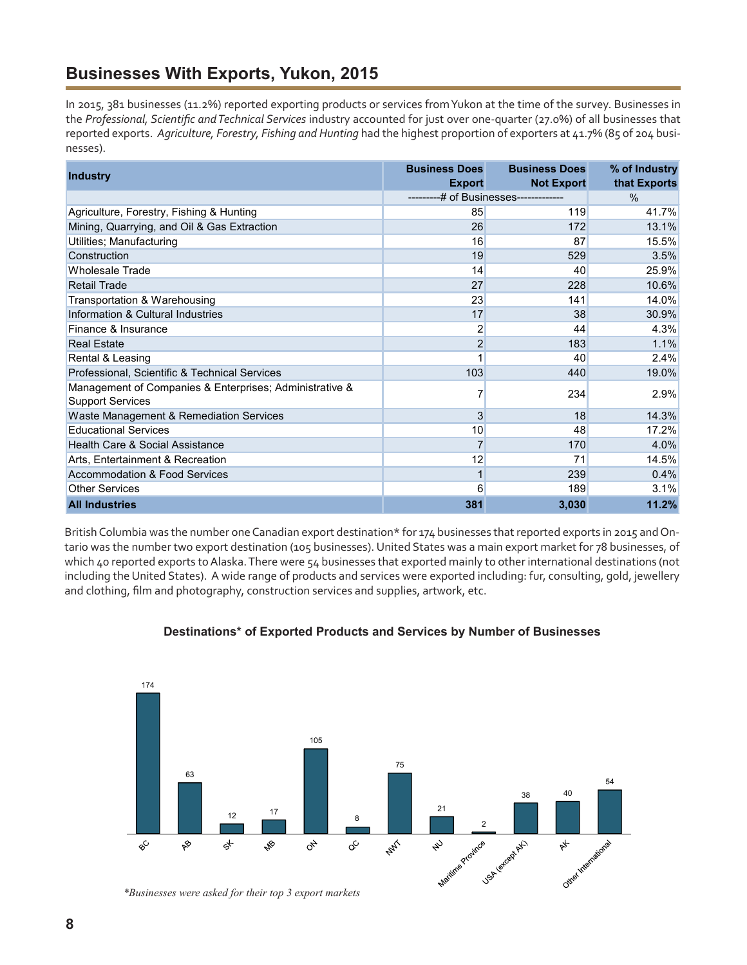## <span id="page-7-0"></span>**Businesses With Exports, Yukon, 2015**

In 2015, 381 businesses (11.2%) reported exporting products or services from Yukon at the time of the survey. Businesses in the *Professional, Scientific and Technical Services* industry accounted for just over one-quarter (27.0%) of all businesses that reported exports. *Agriculture, Forestry, Fishing and Hunting* had the highest proportion of exporters at 41.7% (85 of 204 businesses).

| <b>Industry</b>                                                                    | <b>Business Does</b><br><b>Export</b> | <b>Business Does</b><br><b>Not Export</b> | % of Industry<br>that Exports |
|------------------------------------------------------------------------------------|---------------------------------------|-------------------------------------------|-------------------------------|
|                                                                                    | # of Businesses-------------          |                                           | $\frac{0}{0}$                 |
| Agriculture, Forestry, Fishing & Hunting                                           | 85                                    | 119                                       | 41.7%                         |
| Mining, Quarrying, and Oil & Gas Extraction                                        | 26                                    | 172                                       | 13.1%                         |
| Utilities; Manufacturing                                                           | 16                                    | 87                                        | 15.5%                         |
| Construction                                                                       | 19                                    | 529                                       | 3.5%                          |
| <b>Wholesale Trade</b>                                                             | 14                                    | 40                                        | 25.9%                         |
| <b>Retail Trade</b>                                                                | 27                                    | 228                                       | 10.6%                         |
| Transportation & Warehousing                                                       | 23                                    | 141                                       | 14.0%                         |
| Information & Cultural Industries                                                  | 17                                    | 38                                        | 30.9%                         |
| Finance & Insurance                                                                | 2                                     | 44                                        | 4.3%                          |
| <b>Real Estate</b>                                                                 | $\overline{c}$                        | 183                                       | 1.1%                          |
| Rental & Leasing                                                                   | 1                                     | 40                                        | 2.4%                          |
| Professional, Scientific & Technical Services                                      | 103                                   | 440                                       | 19.0%                         |
| Management of Companies & Enterprises; Administrative &<br><b>Support Services</b> | 7                                     | 234                                       | 2.9%                          |
| Waste Management & Remediation Services                                            | 3                                     | 18                                        | 14.3%                         |
| <b>Educational Services</b>                                                        | 10                                    | 48                                        | 17.2%                         |
| Health Care & Social Assistance                                                    | $\overline{7}$                        | 170                                       | 4.0%                          |
| Arts, Entertainment & Recreation                                                   | 12                                    | 71                                        | 14.5%                         |
| <b>Accommodation &amp; Food Services</b>                                           | $\mathbf{1}$                          | 239                                       | 0.4%                          |
| <b>Other Services</b>                                                              | 6                                     | 189                                       | 3.1%                          |
| <b>All Industries</b>                                                              | 381                                   | 3,030                                     | 11.2%                         |

British Columbia was the number one Canadian export destination\* for 174 businesses that reported exports in 2015 and Ontario was the number two export destination (105 businesses). United States was a main export market for 78 businesses, of which 40 reported exports to Alaska. There were 54 businesses that exported mainly to other international destinations (not including the United States). A wide range of products and services were exported including: fur, consulting, gold, jewellery and clothing, film and photography, construction services and supplies, artwork, etc.



### **Destinations\* of Exported Products and Services by Number of Businesses**

*<sup>\*</sup>Businesses were asked for their top 3 export markets*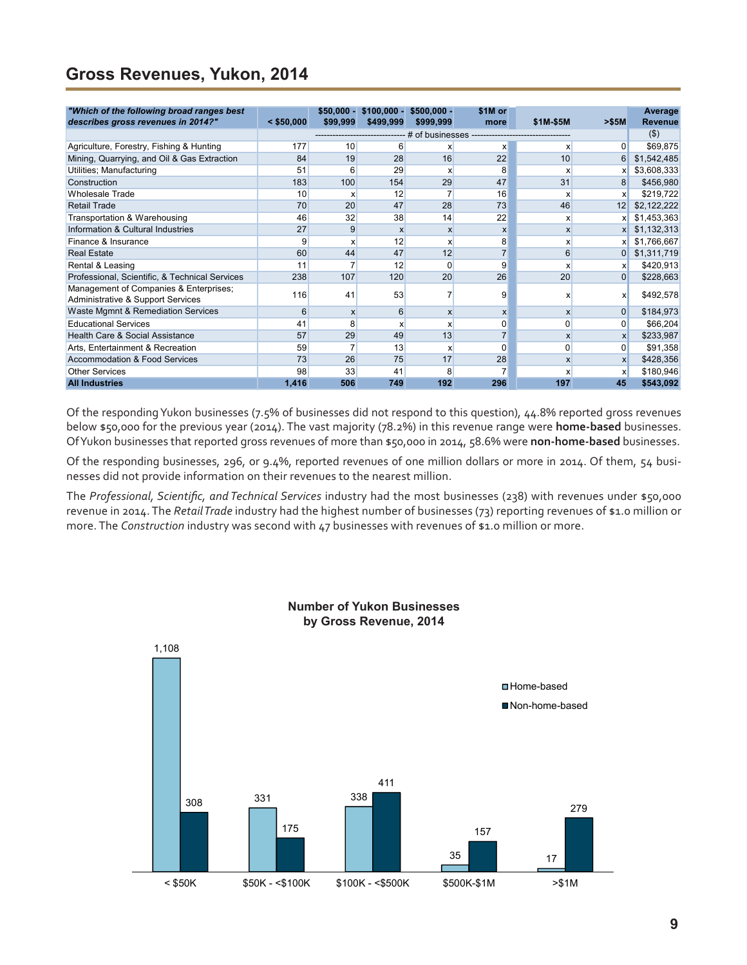## <span id="page-8-0"></span>**Gross Revenues, Yukon, 2014**

| "Which of the following broad ranges best                                   |              | $$50.000 -$  | $$100,000 -$ | $$500.000 -$ | \$1M or                                 |              |                | Average        |
|-----------------------------------------------------------------------------|--------------|--------------|--------------|--------------|-----------------------------------------|--------------|----------------|----------------|
| describes gross revenues in 2014?"                                          | $<$ \$50,000 | \$99,999     | \$499,999    | \$999,999    | more                                    | \$1M-\$5M    | > \$5M         | <b>Revenue</b> |
|                                                                             |              |              |              |              | # of businesses ----------------------- |              |                | $($ \$)        |
| Agriculture, Forestry, Fishing & Hunting                                    | 177          | 10           | 6            | X            | X                                       | х            | $\overline{0}$ | \$69,875       |
| Mining, Quarrying, and Oil & Gas Extraction                                 | 84           | 19           | 28           | 16           | 22                                      | 10           | 6              | \$1,542,485    |
| Utilities; Manufacturing                                                    | 51           | 6            | 29           | x            | 8                                       | x            | x              | \$3,608,333    |
| Construction                                                                | 183          | 100          | 154          | 29           | 47                                      | 31           | 8              | \$456,980      |
| <b>Wholesale Trade</b>                                                      | 10           | x            | 12           |              | 16                                      | x            | x              | \$219,722      |
| <b>Retail Trade</b>                                                         | 70           | 20           | 47           | 28           | 73                                      | 46           | 12             | \$2,122,222    |
| Transportation & Warehousing                                                | 46           | 32           | 38           | 14           | 22                                      | x            |                | \$1,453,363    |
| Information & Cultural Industries                                           | 27           | 9            | X            | X            | X                                       | $\mathsf{x}$ | x              | \$1,132,313    |
| Finance & Insurance                                                         | 9            | x            | 12           | X            | 8                                       | x            |                | \$1,766,667    |
| <b>Real Estate</b>                                                          | 60           | 44           | 47           | 12           | $\overline{7}$                          | 6            | $\overline{0}$ | \$1,311,719    |
| Rental & Leasing                                                            | 11           |              | 12           | $\Omega$     | 9                                       | x            | x              | \$420,913      |
| Professional, Scientific, & Technical Services                              | 238          | 107          | 120          | 20           | 26                                      | 20           | $\overline{0}$ | \$228,663      |
| Management of Companies & Enterprises;<br>Administrative & Support Services | 116          | 41           | 53           |              | 9                                       | X            | x              | \$492,578      |
| Waste Mgmnt & Remediation Services                                          | 6            | $\mathsf{x}$ | 6            | $\mathsf{x}$ | X                                       | $\mathsf{x}$ | $\overline{0}$ | \$184,973      |
| <b>Educational Services</b>                                                 | 41           | 8            | x            | X            | 0                                       | 0            | $\overline{0}$ | \$66,204       |
| Health Care & Social Assistance                                             | 57           | 29           | 49           | 13           |                                         | $\mathsf{x}$ | <b>X</b>       | \$233,987      |
| Arts, Entertainment & Recreation                                            | 59           |              | 13           | X            | $\Omega$                                | 0            | $\overline{0}$ | \$91,358       |
| <b>Accommodation &amp; Food Services</b>                                    | 73           | 26           | 75           | 17           | 28                                      | $\mathsf{x}$ | $\mathsf{x}$   | \$428,356      |
| <b>Other Services</b>                                                       | 98           | 33           | 41           | 8            |                                         | x            | X              | \$180,946      |
| <b>All Industries</b>                                                       | 1,416        | 506          | 749          | 192          | 296                                     | 197          | 45             | \$543,092      |

Of the responding Yukon businesses (7.5% of businesses did not respond to this question), 44.8% reported gross revenues below \$50,000 for the previous year (2014). The vast majority (78.2%) in this revenue range were **home-based** businesses. Of Yukon businesses that reported gross revenues of more than \$50,000 in 2014, 58.6% were **non-home-based** businesses.

Of the responding businesses, 296, or 9.4%, reported revenues of one million dollars or more in 2014. Of them, 54 businesses did not provide information on their revenues to the nearest million.

The *Professional, Scientific, and Technical Services* industry had the most businesses (238) with revenues under \$50,000 revenue in 2014. The *Retail Trade* industry had the highest number of businesses (73) reporting revenues of \$1.0 million or more. The *Construction* industry was second with 47 businesses with revenues of \$1.0 million or more.



### **Number of Yukon Businesses by Gross Revenue, 2014**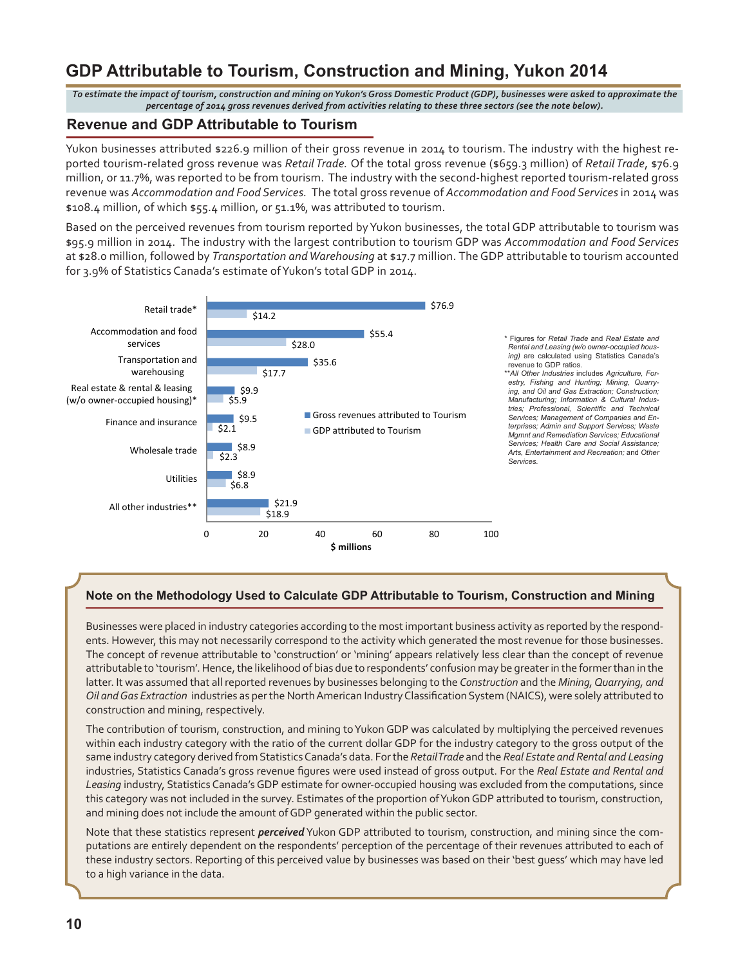## <span id="page-9-0"></span>**GDP Attributable to Tourism, Construction and Mining, Yukon 2014**

*To estimate the impact of tourism, construction and mining on Yukon's Gross Domestic Product (GDP), businesses were asked to approximate the percentage of 2014 gross revenues derived from activities relating to these three sectors (see the note below).*

### **Revenue and GDP Attributable to Tourism**

Yukon businesses attributed \$226.9 million of their gross revenue in 2014 to tourism. The industry with the highest reported tourism-related gross revenue was *Retail Trade.* Of the total gross revenue (\$659.3 million) of *Retail Trade*, \$76.9 million, or 11.7%, was reported to be from tourism. The industry with the second-highest reported tourism-related gross revenue was *Accommodation and Food Services.* The total gross revenue of *Accommodation and Food Services* in 2014 was \$108.4 million, of which \$55.4 million, or 51.1%, was attributed to tourism.

Based on the perceived revenues from tourism reported by Yukon businesses, the total GDP attributable to tourism was \$95.9 million in 2014. The industry with the largest contribution to tourism GDP was *Accommodation and Food Services* at \$28.0 million, followed by *Transportation and Warehousing* at \$17.7 million. The GDP attributable to tourism accounted for 3.9% of Statistics Canada's estimate of Yukon's total GDP in 2014.



#### **Note on the Methodology Used to Calculate GDP Attributable to Tourism, Construction and Mining**

Businesses were placed in industry categories according to the most important business activity as reported by the respondents. However, this may not necessarily correspond to the activity which generated the most revenue for those businesses. The concept of revenue attributable to 'construction' or 'mining' appears relatively less clear than the concept of revenue attributable to 'tourism'. Hence, the likelihood of bias due to respondents' confusion may be greater in the former than in the latter. It was assumed that all reported revenues by businesses belonging to the *Construction* and the *Mining, Quarrying, and Oil and Gas Extraction* industries as per the North American Industry Classification System (NAICS), were solely attributed to construction and mining, respectively.

The contribution of tourism, construction, and mining to Yukon GDP was calculated by multiplying the perceived revenues within each industry category with the ratio of the current dollar GDP for the industry category to the gross output of the same industry category derived from Statistics Canada's data. For the *Retail Trade* and the *Real Estate and Rental and Leasing* industries, Statistics Canada's gross revenue figures were used instead of gross output. For the *Real Estate and Rental and Leasing* industry, Statistics Canada's GDP estimate for owner-occupied housing was excluded from the computations, since this category was not included in the survey. Estimates of the proportion of Yukon GDP attributed to tourism, construction, and mining does not include the amount of GDP generated within the public sector.

Note that these statistics represent *perceived* Yukon GDP attributed to tourism, construction, and mining since the computations are entirely dependent on the respondents' perception of the percentage of their revenues attributed to each of these industry sectors. Reporting of this perceived value by businesses was based on their 'best guess' which may have led to a high variance in the data.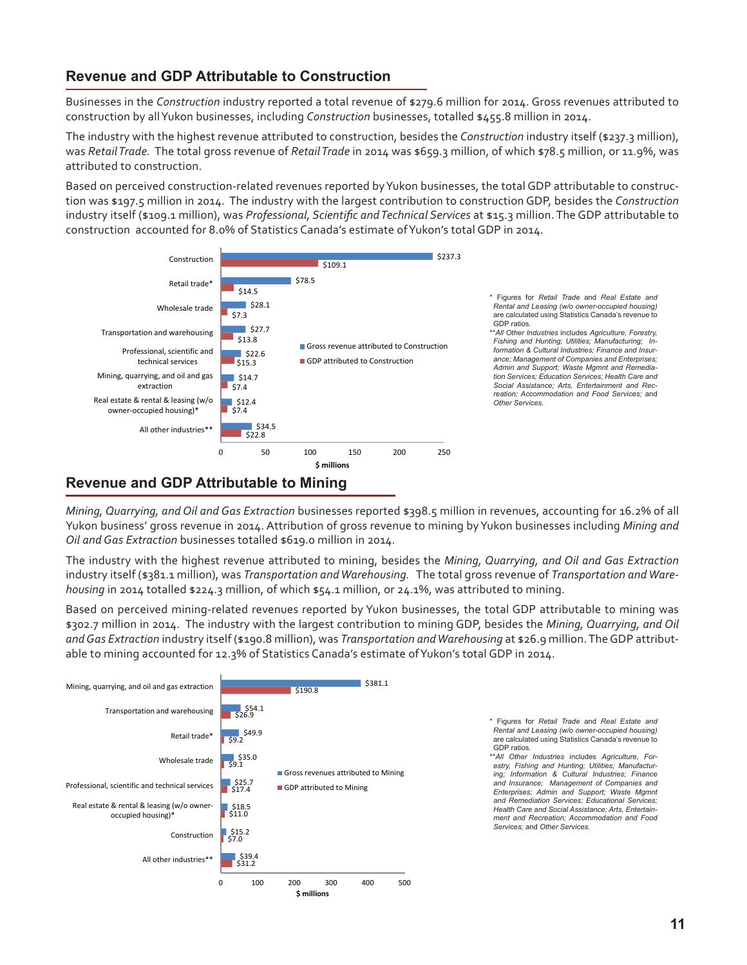### **Revenue and GDP Attributable to Construction**

Businesses in the *Construction* industry reported a total revenue of \$279.6 million for 2014. Gross revenues attributed to construction by all Yukon businesses, including *Construction* businesses, totalled \$455.8 million in 2014.

The industry with the highest revenue attributed to construction, besides the *Construction* industry itself (\$237.3 million), was *Retail Trade.* The total gross revenue of *Retail Trade* in 2014 was \$659.3 million, of which \$78.5 million, or 11.9%, was attributed to construction.

Based on perceived construction-related revenues reported by Yukon businesses, the total GDP attributable to construction was \$197.5 million in 2014. The industry with the largest contribution to construction GDP, besides the *Construction* industry itself (\$109.1 million), was *Professional, Scientific and Technical Services* at \$15.3 million. The GDP attributable to construction accounted for 8.0% of Statistics Canada's estimate of Yukon's total GDP in 2014.



### **Revenue and GDP Attributable to Mining**

*Mining, Quarrying, and Oil and Gas Extraction* businesses reported \$398.5 million in revenues, accounting for 16.2% of all Yukon business' gross revenue in 2014. Attribution of gross revenue to mining by Yukon businesses including *Mining and Oil and Gas Extraction* businesses totalled \$619.0 million in 2014.

The industry with the highest revenue attributed to mining, besides the *Mining, Quarrying, and Oil and Gas Extraction* industry itself (\$381.1 million), was *Transportation and Warehousing.* The total gross revenue of *Transportation and Warehousing* in 2014 totalled \$224.3 million, of which \$54.1 million, or 24.1%, was attributed to mining.

Based on perceived mining-related revenues reported by Yukon businesses, the total GDP attributable to mining was \$302.7 million in 2014. The industry with the largest contribution to mining GDP, besides the *Mining, Quarrying, and Oil and Gas Extraction* industry itself (\$190.8 million), was *Transportation and Warehousing* at \$26.9 million. The GDP attributable to mining accounted for 12.3% of Statistics Canada's estimate of Yukon's total GDP in 2014.



\* Figures for *Retail Trade* and *Real Estate and Rental and Leasing (w/o owner-occupied housing)*  are calculated using Statistics Canada's revenue to GDP ratios.

\*\**All Other Industries* includes *Agriculture, Forestry, Fishing and Hunting; Utilities; Manufacturing; Information & Cultural Industries; Finance and Insurance; Management of Companies and Enterprises; Admin and Support; Waste Mgmnt and Remediation Services; Educational Services; Health Care and Social Assistance; Arts, Entertainment and Recreation; Accommodation and Food Services;* and *Other Services.*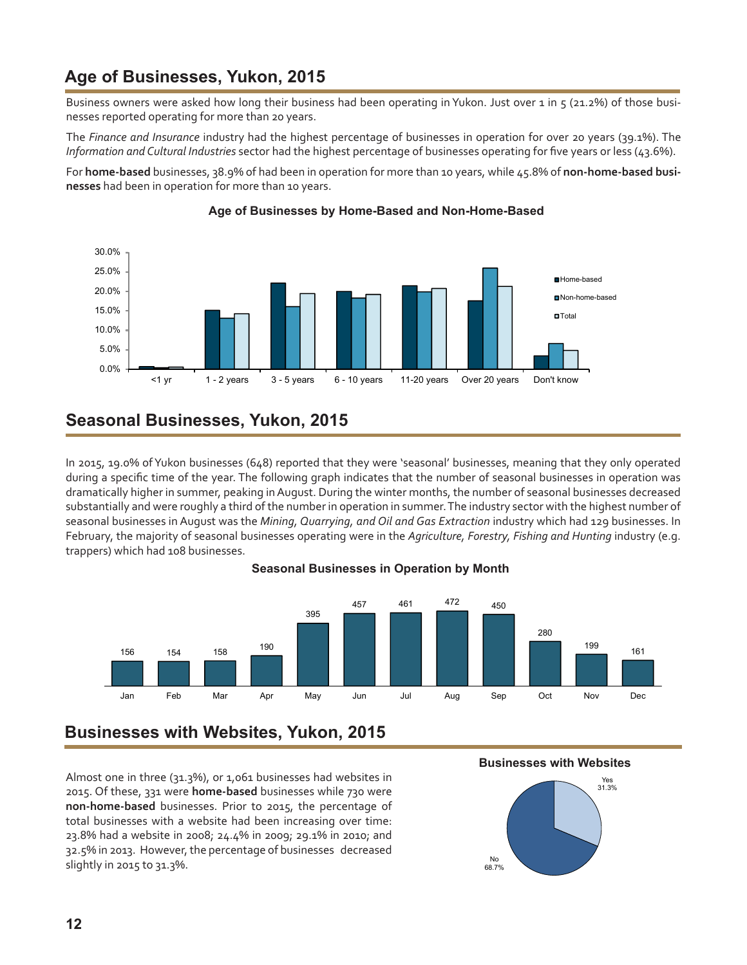## <span id="page-11-0"></span>**Age of Businesses, Yukon, 2015**

Business owners were asked how long their business had been operating in Yukon. Just over 1 in 5 (21.2%) of those businesses reported operating for more than 20 years.

The *Finance and Insurance* industry had the highest percentage of businesses in operation for over 20 years (39.1%). The *Information and Cultural Industries* sector had the highest percentage of businesses operating for five years or less (43.6%).

For **home-based** businesses, 38.9% of had been in operation for more than 10 years, while 45.8% of **non-home-based businesses** had been in operation for more than 10 years.



### **Age of Businesses by Home-Based and Non-Home-Based**

## **Seasonal Businesses, Yukon, 2015**

In 2015, 19.0% of Yukon businesses (648) reported that they were 'seasonal' businesses, meaning that they only operated during a specific time of the year. The following graph indicates that the number of seasonal businesses in operation was dramatically higher in summer, peaking in August. During the winter months, the number of seasonal businesses decreased substantially and were roughly a third of the number in operation in summer. The industry sector with the highest number of seasonal businesses in August was the *Mining, Quarrying, and Oil and Gas Extraction* industry which had 129 businesses. In February, the majority of seasonal businesses operating were in the *Agriculture, Forestry, Fishing and Hunting* industry (e.g. trappers) which had 108 businesses.

#### **Seasonal Businesses in Operation by Month**



## **Businesses with Websites, Yukon, 2015**

Almost one in three (31.3%), or 1,061 businesses had websites in 2015. Of these, 331 were **home-based** businesses while 730 were **non-home-based** businesses. Prior to 2015, the percentage of total businesses with a website had been increasing over time: 23.8% had a website in 2008; 24.4% in 2009; 29.1% in 2010; and 32.5% in 2013. However, the percentage of businesses decreased slightly in 2015 to 31.3%.



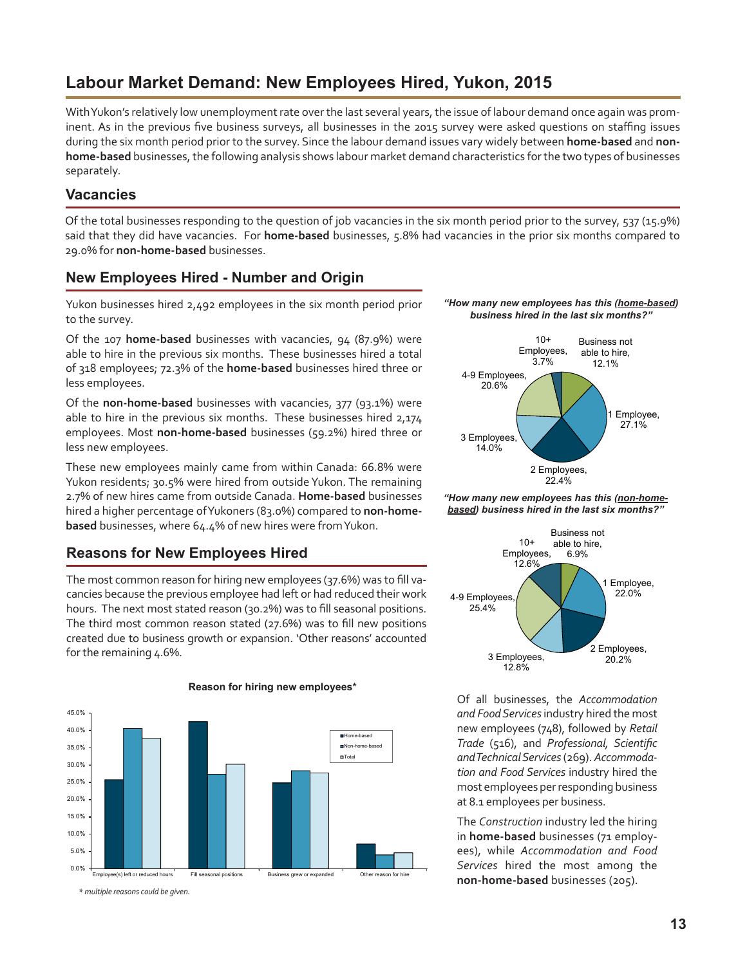## <span id="page-12-0"></span>**Labour Market Demand: New Employees Hired, Yukon, 2015**

With Yukon's relatively low unemployment rate over the last several years, the issue of labour demand once again was prominent. As in the previous five business surveys, all businesses in the 2015 survey were asked questions on staffing issues during the six month period prior to the survey. Since the labour demand issues vary widely between **home-based** and **nonhome-based** businesses, the following analysis shows labour market demand characteristics for the two types of businesses separately.

### **Vacancies**

Of the total businesses responding to the question of job vacancies in the six month period prior to the survey, 537 (15.9%) said that they did have vacancies. For **home-based** businesses, 5.8% had vacancies in the prior six months compared to 29.0% for **non-home-based** businesses.

### **New Employees Hired - Number and Origin**

Yukon businesses hired 2,492 employees in the six month period prior to the survey.

Of the 107 **home-based** businesses with vacancies, 94 (87.9%) were able to hire in the previous six months. These businesses hired a total of 318 employees; 72.3% of the **home-based** businesses hired three or less employees.

Of the **non-home-based** businesses with vacancies, 377 (93.1%) were able to hire in the previous six months. These businesses hired 2,174 employees. Most **non-home-based** businesses (59.2%) hired three or less new employees.

These new employees mainly came from within Canada: 66.8% were Yukon residents; 30.5% were hired from outside Yukon. The remaining 2.7% of new hires came from outside Canada. **Home-based** businesses hired a higher percentage of Yukoners (83.0%) compared to **non-homebased** businesses, where 64.4% of new hires were from Yukon.

### **Reasons for New Employees Hired**

The most common reason for hiring new employees (37.6%) was to fill vacancies because the previous employee had left or had reduced their work hours. The next most stated reason (30.2%) was to fill seasonal positions. The third most common reason stated (27.6%) was to fill new positions created due to business growth or expansion. 'Other reasons' accounted for the remaining 4.6%.



#### **Reason for hiring new employees\***

*\* multiple reasons could be given.*

#### *"How many new employees has this (home-based) business hired in the last six months?"*



*"How many new employees has this (non-homebased) business hired in the last six months?"*



Of all businesses, the *Accommodation and Food Services* industry hired the most new employees (748), followed by *Retail Trade* (516), and *Professional, Scientific and Technical Services* (269). *Accommodation and Food Services* industry hired the most employees per responding business at 8.1 employees per business.

The *Construction* industry led the hiring in **home-based** businesses (71 employees), while *Accommodation and Food Services* hired the most among the **non-home-based** businesses (205).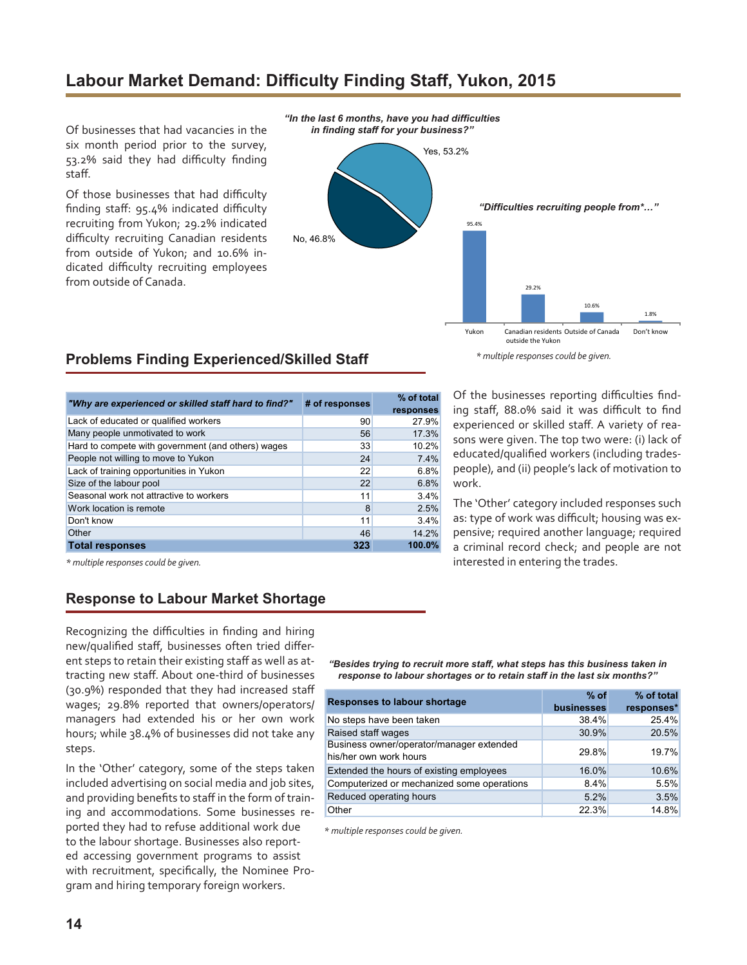## <span id="page-13-0"></span>**Labour Market Demand: Difficulty Finding Staff, Yukon, 2015**

Of businesses that had vacancies in the six month period prior to the survey, 53.2% said they had difficulty finding staff.

Of those businesses that had difficulty finding staff: 95.4% indicated difficulty recruiting from Yukon; 29.2% indicated difficulty recruiting Canadian residents from outside of Yukon; and 10.6% indicated difficulty recruiting employees from outside of Canada.



### **Problems Finding Experienced/Skilled Staff**

| "Why are experienced or skilled staff hard to find?" | # of responses | % of total<br>responses |
|------------------------------------------------------|----------------|-------------------------|
| Lack of educated or qualified workers                | 90             | 27.9%                   |
| Many people unmotivated to work                      | 56             | 17.3%                   |
| Hard to compete with government (and others) wages   | 33             | 10.2%                   |
| People not willing to move to Yukon                  | 24             | 7.4%                    |
| Lack of training opportunities in Yukon              | 22             | 6.8%                    |
| Size of the labour pool                              | 22             | 6.8%                    |
| Seasonal work not attractive to workers              | 11             | 3.4%                    |
| Work location is remote                              | 8              | 2.5%                    |
| Don't know                                           | 11             | 3.4%                    |
| Other                                                | 46             | 14.2%                   |
| <b>Total responses</b>                               | 323            | 100.0%                  |

Of the businesses reporting difficulties finding staff, 88.0% said it was difficult to find experienced or skilled staff. A variety of reasons were given. The top two were: (i) lack of educated/qualified workers (including tradespeople), and (ii) people's lack of motivation to work.

The 'Other' category included responses such as: type of work was difficult; housing was expensive; required another language; required a criminal record check; and people are not interested in entering the trades.

*\* multiple responses could be given.*

### **Response to Labour Market Shortage**

Recognizing the difficulties in finding and hiring new/qualified staff, businesses often tried different steps to retain their existing staff as well as attracting new staff. About one-third of businesses (30.9%) responded that they had increased staff wages; 29.8% reported that owners/operators/ managers had extended his or her own work hours; while 38.4% of businesses did not take any steps.

In the 'Other' category, some of the steps taken included advertising on social media and job sites, and providing benefits to staff in the form of training and accommodations. Some businesses reported they had to refuse additional work due to the labour shortage. Businesses also reported accessing government programs to assist with recruitment, specifically, the Nominee Program and hiring temporary foreign workers.

*"Besides trying to recruit more staff, what steps has this business taken in response to labour shortages or to retain staff in the last six months?"*

| <b>Responses to labour shortage</b>                                | $%$ of     | % of total |
|--------------------------------------------------------------------|------------|------------|
|                                                                    | businesses | responses* |
| No steps have been taken                                           | 38.4%      | 25.4%      |
| Raised staff wages                                                 | 30.9%      | 20.5%      |
| Business owner/operator/manager extended<br>his/her own work hours | 29.8%      | 19.7%      |
| Extended the hours of existing employees                           | 16.0%      | 10.6%      |
| Computerized or mechanized some operations                         | 8.4%       | 5.5%       |
| Reduced operating hours                                            | 5.2%       | 3.5%       |
| Other                                                              | 22.3%      | 14.8%      |

 *\* multiple responses could be given.*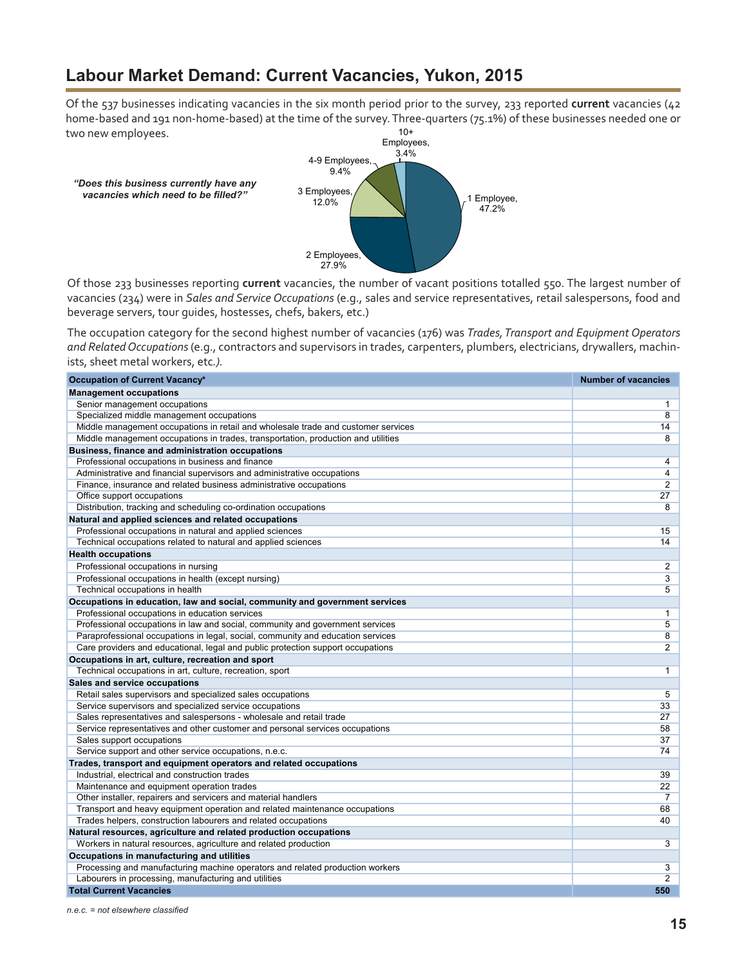## <span id="page-14-0"></span>**Labour Market Demand: Current Vacancies, Yukon, 2015**

10+ Of the 537 businesses indicating vacancies in the six month period prior to the survey, 233 reported **current** vacancies (42 home-based and 191 non-home-based) at the time of the survey. Three-quarters (75.1%) of these businesses needed one or two new employees.



Of those 233 businesses reporting **current** vacancies, the number of vacant positions totalled 550. The largest number of vacancies (234) were in *Sales and Service Occupations* (e.g., sales and service representatives, retail salespersons, food and beverage servers, tour guides, hostesses, chefs, bakers, etc.)

The occupation category for the second highest number of vacancies (176) was *Trades, Transport and Equipment Operators and Related Occupations* (e.g., contractors and supervisors in trades, carpenters, plumbers, electricians, drywallers, machinists, sheet metal workers, etc*.).*

| Occupation of Current Vacancy*                                                    | <b>Number of vacancies</b> |
|-----------------------------------------------------------------------------------|----------------------------|
| <b>Management occupations</b>                                                     |                            |
| Senior management occupations                                                     | 1                          |
| Specialized middle management occupations                                         | $\overline{8}$             |
| Middle management occupations in retail and wholesale trade and customer services | 14                         |
| Middle management occupations in trades, transportation, production and utilities | 8                          |
| <b>Business, finance and administration occupations</b>                           |                            |
| Professional occupations in business and finance                                  | 4                          |
| Administrative and financial supervisors and administrative occupations           | 4                          |
| Finance, insurance and related business administrative occupations                | 2                          |
| Office support occupations                                                        | 27                         |
| Distribution, tracking and scheduling co-ordination occupations                   | 8                          |
| Natural and applied sciences and related occupations                              |                            |
| Professional occupations in natural and applied sciences                          | 15                         |
| Technical occupations related to natural and applied sciences                     | 14                         |
| <b>Health occupations</b>                                                         |                            |
| Professional occupations in nursing                                               | 2                          |
| Professional occupations in health (except nursing)                               | 3                          |
| Technical occupations in health                                                   | 5                          |
| Occupations in education, law and social, community and government services       |                            |
| Professional occupations in education services                                    | 1                          |
| Professional occupations in law and social, community and government services     | 5                          |
| Paraprofessional occupations in legal, social, community and education services   | 8                          |
| Care providers and educational, legal and public protection support occupations   | $\overline{2}$             |
| Occupations in art, culture, recreation and sport                                 |                            |
| Technical occupations in art, culture, recreation, sport                          | $\mathbf{1}$               |
| Sales and service occupations                                                     |                            |
| Retail sales supervisors and specialized sales occupations                        | 5                          |
| Service supervisors and specialized service occupations                           | 33                         |
| Sales representatives and salespersons - wholesale and retail trade               | 27                         |
| Service representatives and other customer and personal services occupations      | 58                         |
| Sales support occupations                                                         | 37                         |
| Service support and other service occupations, n.e.c.                             | 74                         |
| Trades, transport and equipment operators and related occupations                 |                            |
| Industrial, electrical and construction trades                                    | 39                         |
| Maintenance and equipment operation trades                                        | 22                         |
| Other installer, repairers and servicers and material handlers                    | $\overline{7}$             |
| Transport and heavy equipment operation and related maintenance occupations       | 68                         |
| Trades helpers, construction labourers and related occupations                    | 40                         |
| Natural resources, agriculture and related production occupations                 |                            |
| Workers in natural resources, agriculture and related production                  | 3                          |
| Occupations in manufacturing and utilities                                        |                            |
| Processing and manufacturing machine operators and related production workers     | 3                          |
| Labourers in processing, manufacturing and utilities                              | $\overline{2}$             |
| <b>Total Current Vacancies</b>                                                    | 550                        |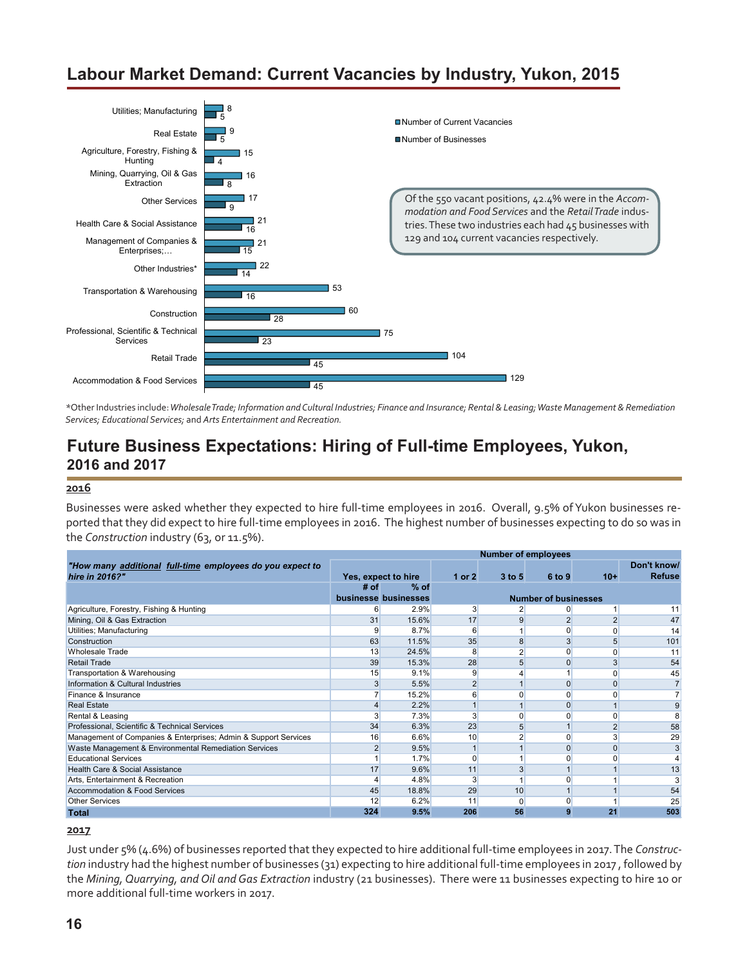## <span id="page-15-0"></span>**Labour Market Demand: Current Vacancies by Industry, Yukon, 2015**



*\**Other Industries include: *Wholesale Trade; Information and Cultural Industries; Finance and Insurance; Rental & Leasing; Waste Management & Remediation Services; Educational Services;* and *Arts Entertainment and Recreation.* 

### **Future Business Expectations: Hiring of Full-time Employees, Yukon, 2016 and 2017**

#### **2016**

Businesses were asked whether they expected to hire full-time employees in 2016. Overall, 9.5% of Yukon businesses reported that they did expect to hire full-time employees in 2016. The highest number of businesses expecting to do so was in the *Construction* industry (63, or 11.5%).

|                                                                 |      |                      |                | <b>Number of employees</b> |                             |                |               |
|-----------------------------------------------------------------|------|----------------------|----------------|----------------------------|-----------------------------|----------------|---------------|
| "How many additional full-time employees do you expect to       |      |                      |                |                            |                             |                | Don't know/   |
| hire in 2016?"                                                  |      | Yes, expect to hire  | 1 or $2$       | $3$ to 5                   | 6 to 9                      | $10+$          | <b>Refuse</b> |
|                                                                 | # of | % of                 |                |                            |                             |                |               |
|                                                                 |      | businesse businesses |                |                            | <b>Number of businesses</b> |                |               |
| Agriculture, Forestry, Fishing & Hunting                        | 6    | 2.9%                 | 3              |                            | $\Omega$                    |                | 11            |
| Mining, Oil & Gas Extraction                                    | 31   | 15.6%                | 17             |                            | $\overline{2}$              | $\overline{2}$ | 47            |
| Utilities; Manufacturing                                        |      | 8.7%                 | 6              |                            | 0                           | $\Omega$       | 14            |
| Construction                                                    | 63   | 11.5%                | 35             | 8                          | 3                           | 5              | 101           |
| <b>Wholesale Trade</b>                                          | 13   | 24.5%                | 8              |                            | $\Omega$                    | $\Omega$       | 11            |
| Retail Trade                                                    | 39   | 15.3%                | 28             |                            | $\Omega$                    |                | 54            |
| Transportation & Warehousing                                    | 15   | 9.1%                 | 9              |                            |                             | $\Omega$       | 45            |
| Information & Cultural Industries                               |      | 5.5%                 | $\overline{2}$ |                            | $\overline{0}$              | $\Omega$       |               |
| Finance & Insurance                                             |      | 15.2%                | 6              |                            | 0                           | O              |               |
| <b>Real Estate</b>                                              |      | 2.2%                 |                |                            | $\Omega$                    |                |               |
| Rental & Leasing                                                |      | 7.3%                 | 3              | ŋ                          | $\Omega$                    | $\Omega$       |               |
| Professional, Scientific & Technical Services                   | 34   | 6.3%                 | 23             | 5                          |                             | 2              | 58            |
| Management of Companies & Enterprises; Admin & Support Services | 16   | 6.6%                 | 10             |                            | $\Omega$                    | 3              | 29            |
| Waste Management & Environmental Remediation Services           |      | 9.5%                 |                |                            | $\Omega$                    | $\Omega$       | 3             |
| <b>Educational Services</b>                                     |      | 1.7%                 | $\Omega$       |                            | O                           |                |               |
| Health Care & Social Assistance                                 | 17   | 9.6%                 | 11             |                            |                             |                | 13            |
| Arts, Entertainment & Recreation                                |      | 4.8%                 | 3              |                            | $\Omega$                    |                |               |
| Accommodation & Food Services                                   | 45   | 18.8%                | 29             | 10                         |                             |                | 54            |
| <b>Other Services</b>                                           | 12   | 6.2%                 | 11             | $\Omega$                   | $\Omega$                    |                | 25            |
| <b>Total</b>                                                    | 324  | 9.5%                 | 206            | 56                         | 9                           | 21             | 503           |

#### **2017**

Just under 5% (4.6%) of businesses reported that they expected to hire additional full-time employees in 2017. The *Construction* industry had the highest number of businesses (31) expecting to hire additional full-time employees in 2017 , followed by the *Mining, Quarrying, and Oil and Gas Extraction* industry (21 businesses). There were 11 businesses expecting to hire 10 or more additional full-time workers in 2017.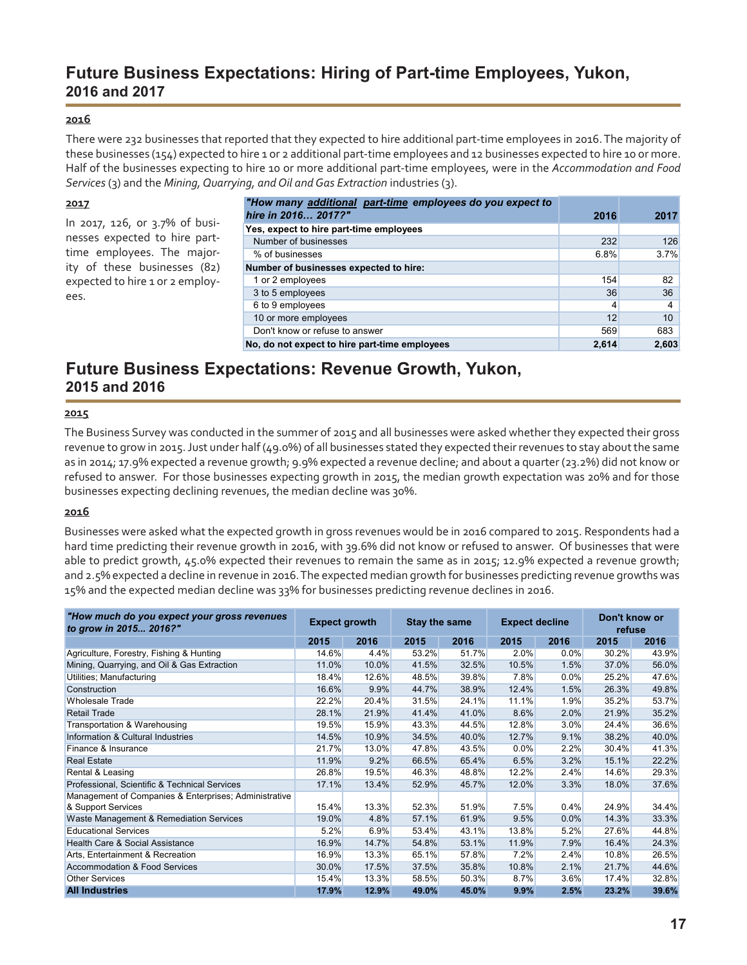### **Future Business Expectations: Hiring of Part-time Employees, Yukon, 2016 and 2017**

#### **2016**

There were 232 businesses that reported that they expected to hire additional part-time employees in 2016. The majority of these businesses (154) expected to hire 1 or 2 additional part-time employees and 12 businesses expected to hire 10 or more. Half of the businesses expecting to hire 10 or more additional part-time employees, were in the *Accommodation and Food Services* (3) and the *Mining, Quarrying, and Oil and Gas Extraction* industries (3).

| 2017                            | "How many additional part-time employees do you expect to |       |       |
|---------------------------------|-----------------------------------------------------------|-------|-------|
|                                 | hire in 2016 2017?"                                       | 2016  | 2017  |
| In 2017, 126, or 3.7% of busi-  | Yes, expect to hire part-time employees                   |       |       |
| nesses expected to hire part-   | Number of businesses                                      | 232   | 126   |
| time employees. The major-      | % of businesses                                           | 6.8%  | 3.7%  |
| ity of these businesses (82)    | Number of businesses expected to hire:                    |       |       |
| expected to hire 1 or 2 employ- | 1 or 2 employees                                          | 154   | 82    |
| ees.                            | 3 to 5 employees                                          | 36    | 36    |
|                                 | 6 to 9 employees                                          |       | 4     |
|                                 | 10 or more employees                                      | 12    | 10    |
|                                 | Don't know or refuse to answer                            | 569   | 683   |
|                                 | No, do not expect to hire part-time employees             | 2.614 | 2,603 |

### **Future Business Expectations: Revenue Growth, Yukon, 2015 and 2016**

#### **2015**

The Business Survey was conducted in the summer of 2015 and all businesses were asked whether they expected their gross revenue to grow in 2015. Just under half (49.0%) of all businesses stated they expected their revenues to stay about the same as in 2014; 17.9% expected a revenue growth; 9.9% expected a revenue decline; and about a quarter (23.2%) did not know or refused to answer. For those businesses expecting growth in 2015, the median growth expectation was 20% and for those businesses expecting declining revenues, the median decline was 30%.

#### **2016**

Businesses were asked what the expected growth in gross revenues would be in 2016 compared to 2015. Respondents had a hard time predicting their revenue growth in 2016, with 39.6% did not know or refused to answer. Of businesses that were able to predict growth, 45.0% expected their revenues to remain the same as in 2015; 12.9% expected a revenue growth; and 2.5% expected a decline in revenue in 2016. The expected median growth for businesses predicting revenue growths was 15% and the expected median decline was 33% for businesses predicting revenue declines in 2016.

| "How much do you expect your gross revenues<br>to grow in 2015 2016?" | <b>Expect growth</b> |       | <b>Stay the same</b> |       | <b>Expect decline</b> |      | Don't know or<br>refuse |       |  |
|-----------------------------------------------------------------------|----------------------|-------|----------------------|-------|-----------------------|------|-------------------------|-------|--|
|                                                                       | 2015                 | 2016  | 2015                 | 2016  | 2015                  | 2016 | 2015                    | 2016  |  |
| Agriculture, Forestry, Fishing & Hunting                              | 14.6%                | 4.4%  | 53.2%                | 51.7% | 2.0%                  | 0.0% | 30.2%                   | 43.9% |  |
| Mining, Quarrying, and Oil & Gas Extraction                           | 11.0%                | 10.0% | 41.5%                | 32.5% | 10.5%                 | 1.5% | 37.0%                   | 56.0% |  |
| Utilities; Manufacturing                                              | 18.4%                | 12.6% | 48.5%                | 39.8% | 7.8%                  | 0.0% | 25.2%                   | 47.6% |  |
| Construction                                                          | 16.6%                | 9.9%  | 44.7%                | 38.9% | 12.4%                 | 1.5% | 26.3%                   | 49.8% |  |
| <b>Wholesale Trade</b>                                                | 22.2%                | 20.4% | 31.5%                | 24.1% | 11.1%                 | 1.9% | 35.2%                   | 53.7% |  |
| <b>Retail Trade</b>                                                   | 28.1%                | 21.9% | 41.4%                | 41.0% | 8.6%                  | 2.0% | 21.9%                   | 35.2% |  |
| Transportation & Warehousing                                          | 19.5%                | 15.9% | 43.3%                | 44.5% | 12.8%                 | 3.0% | 24.4%                   | 36.6% |  |
| Information & Cultural Industries                                     | 14.5%                | 10.9% | 34.5%                | 40.0% | 12.7%                 | 9.1% | 38.2%                   | 40.0% |  |
| Finance & Insurance                                                   | 21.7%                | 13.0% | 47.8%                | 43.5% | $0.0\%$               | 2.2% | 30.4%                   | 41.3% |  |
| <b>Real Estate</b>                                                    | 11.9%                | 9.2%  | 66.5%                | 65.4% | 6.5%                  | 3.2% | 15.1%                   | 22.2% |  |
| Rental & Leasing                                                      | 26.8%                | 19.5% | 46.3%                | 48.8% | 12.2%                 | 2.4% | 14.6%                   | 29.3% |  |
| Professional, Scientific & Technical Services                         | 17.1%                | 13.4% | 52.9%                | 45.7% | 12.0%                 | 3.3% | 18.0%                   | 37.6% |  |
| Management of Companies & Enterprises; Administrative                 |                      |       |                      |       |                       |      |                         |       |  |
| & Support Services                                                    | 15.4%                | 13.3% | 52.3%                | 51.9% | 7.5%                  | 0.4% | 24.9%                   | 34.4% |  |
| Waste Management & Remediation Services                               | 19.0%                | 4.8%  | 57.1%                | 61.9% | 9.5%                  | 0.0% | 14.3%                   | 33.3% |  |
| <b>Educational Services</b>                                           | 5.2%                 | 6.9%  | 53.4%                | 43.1% | 13.8%                 | 5.2% | 27.6%                   | 44.8% |  |
| Health Care & Social Assistance                                       | 16.9%                | 14.7% | 54.8%                | 53.1% | 11.9%                 | 7.9% | 16.4%                   | 24.3% |  |
| Arts, Entertainment & Recreation                                      | 16.9%                | 13.3% | 65.1%                | 57.8% | 7.2%                  | 2.4% | 10.8%                   | 26.5% |  |
| Accommodation & Food Services                                         | 30.0%                | 17.5% | 37.5%                | 35.8% | 10.8%                 | 2.1% | 21.7%                   | 44.6% |  |
| <b>Other Services</b>                                                 | 15.4%                | 13.3% | 58.5%                | 50.3% | 8.7%                  | 3.6% | 17.4%                   | 32.8% |  |
| <b>All Industries</b>                                                 | 17.9%                | 12.9% | 49.0%                | 45.0% | 9.9%                  | 2.5% | 23.2%                   | 39.6% |  |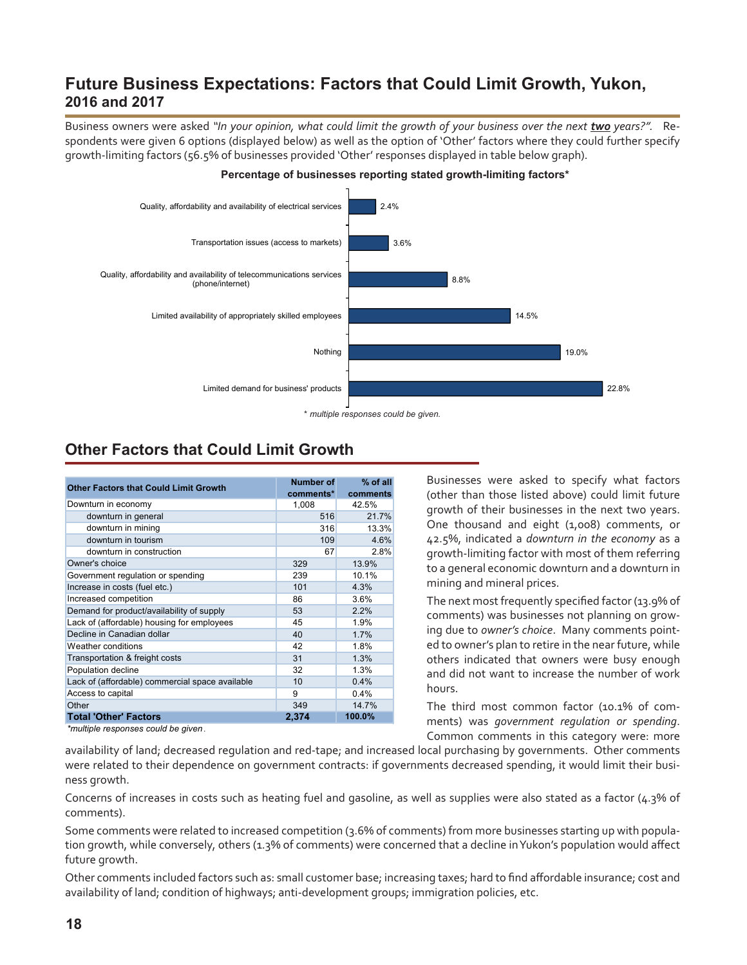## **Future Business Expectations: Factors that Could Limit Growth, Yukon, 2016 and 2017**

Business owners were asked "In your opinion, what could limit the growth of your business over the next *two* years?". Respondents were given 6 options (displayed below) as well as the option of 'Other' factors where they could further specify growth-limiting factors (56.5% of businesses provided 'Other' responses displayed in table below graph).



### **Percentage of businesses reporting stated growth-limiting factors\***

## **Other Factors that Could Limit Growth**

| <b>Other Factors that Could Limit Growth</b>    | <b>Number of</b><br>comments* | % of all<br>comments |
|-------------------------------------------------|-------------------------------|----------------------|
| Downturn in economy                             | 1,008                         | 42.5%                |
| downturn in general                             | 516                           | 21.7%                |
| downturn in mining                              | 316                           | 13.3%                |
| downturn in tourism                             | 109                           | 4.6%                 |
| downturn in construction                        | 67                            | 2.8%                 |
| Owner's choice                                  | 329                           | 13.9%                |
| Government regulation or spending               | 239                           | 10.1%                |
| Increase in costs (fuel etc.)                   | 101                           | 4.3%                 |
| Increased competition                           | 86                            | 3.6%                 |
| Demand for product/availability of supply       | 53                            | 2.2%                 |
| Lack of (affordable) housing for employees      | 45                            | 1.9%                 |
| Decline in Canadian dollar                      | 40                            | 1.7%                 |
| <b>Weather conditions</b>                       | 42                            | 1.8%                 |
| Transportation & freight costs                  | 31                            | 1.3%                 |
| Population decline                              | 32                            | 1.3%                 |
| Lack of (affordable) commercial space available | 10                            | 0.4%                 |
| Access to capital                               | 9                             | 0.4%                 |
| Other                                           | 349                           | 14.7%                |
| <b>Total 'Other' Factors</b>                    | 2,374                         | 100.0%               |

Businesses were asked to specify what factors (other than those listed above) could limit future growth of their businesses in the next two years. One thousand and eight (1,008) comments, or 42.5%, indicated a *downturn in the economy* as a growth-limiting factor with most of them referring to a general economic downturn and a downturn in mining and mineral prices.

The next most frequently specified factor (13.9% of comments) was businesses not planning on growing due to *owner's choice*. Many comments pointed to owner's plan to retire in the near future, while others indicated that owners were busy enough and did not want to increase the number of work hours.

The third most common factor (10.1% of comments) was *government regulation or spending*. Common comments in this category were: more

*\*multiple responses could be given .*

availability of land; decreased regulation and red-tape; and increased local purchasing by governments. Other comments were related to their dependence on government contracts: if governments decreased spending, it would limit their business growth.

Concerns of increases in costs such as heating fuel and gasoline, as well as supplies were also stated as a factor (4.3% of comments).

Some comments were related to increased competition (3.6% of comments) from more businesses starting up with population growth, while conversely, others (1.3% of comments) were concerned that a decline in Yukon's population would affect future growth.

Other comments included factors such as: small customer base; increasing taxes; hard to find affordable insurance; cost and availability of land; condition of highways; anti-development groups; immigration policies, etc.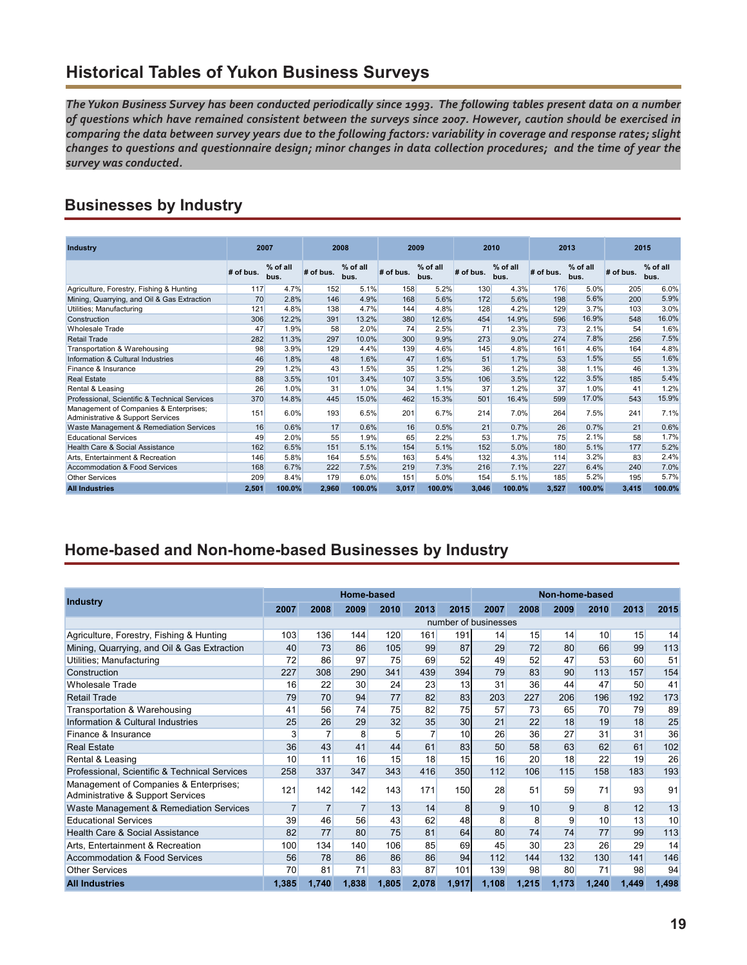## **Historical Tables of Yukon Business Surveys**

*The Yukon Business Survey has been conducted periodically since 1993. The following tables present data on a number of questions which have remained consistent between the surveys since 2007. However, caution should be exercised in comparing the data between survey years due to the following factors: variability in coverage and response rates; slight changes to questions and questionnaire design; minor changes in data collection procedures; and the time of year the survey was conducted.*

## **Businesses by Industry**

| <b>Industry</b>                                                             |           | 2007             |           | 2008             | 2009      |                  |           | 2010             | 2013      |                    | 2015      |                    |
|-----------------------------------------------------------------------------|-----------|------------------|-----------|------------------|-----------|------------------|-----------|------------------|-----------|--------------------|-----------|--------------------|
|                                                                             | # of bus. | % of all<br>bus. | # of bus. | % of all<br>bus. | # of bus. | % of all<br>bus. | # of bus. | % of all<br>bus. | # of bus. | $%$ of all<br>bus. | # of bus. | $%$ of all<br>bus. |
| Agriculture, Forestry, Fishing & Hunting                                    | 117       | 4.7%             | 152       | 5.1%             | 158       | 5.2%             | 130       | 4.3%             | 176       | 5.0%               | 205       | 6.0%               |
| Mining, Quarrying, and Oil & Gas Extraction                                 | 70        | 2.8%             | 146       | 4.9%             | 168       | 5.6%             | 172       | 5.6%             | 198       | 5.6%               | 200       | 5.9%               |
| Utilities; Manufacturing                                                    | 121       | 4.8%             | 138       | 4.7%             | 144       | 4.8%             | 128       | 4.2%             | 129       | 3.7%               | 103       | 3.0%               |
| Construction                                                                | 306       | 12.2%            | 391       | 13.2%            | 380       | 12.6%            | 454       | 14.9%            | 596       | 16.9%              | 548       | 16.0%              |
| <b>Wholesale Trade</b>                                                      | 47        | 1.9%             | 58        | 2.0%             | 74        | 2.5%             | 71        | 2.3%             | 73        | 2.1%               | 54        | 1.6%               |
| <b>Retail Trade</b>                                                         | 282       | 11.3%            | 297       | 10.0%            | 300       | 9.9%             | 273       | 9.0%             | 274       | 7.8%               | 256       | 7.5%               |
| Transportation & Warehousing                                                | 98        | 3.9%             | 129       | 4.4%             | 139       | 4.6%             | 145       | 4.8%             | 161       | 4.6%               | 164       | 4.8%               |
| Information & Cultural Industries                                           | 46        | 1.8%             | 48        | 1.6%             | 47        | 1.6%             | 51        | 1.7%             | 53        | 1.5%               | 55        | 1.6%               |
| Finance & Insurance                                                         | 29        | 1.2%             | 43        | 1.5%             | 35        | 1.2%             | 36        | 1.2%             | 38        | 1.1%               | 46        | 1.3%               |
| <b>Real Estate</b>                                                          | 88        | 3.5%             | 101       | 3.4%             | 107       | 3.5%             | 106       | 3.5%             | 122       | 3.5%               | 185       | 5.4%               |
| Rental & Leasing                                                            | 26        | 1.0%             | 31        | 1.0%             | 34        | 1.1%             | 37        | 1.2%             | 37        | 1.0%               | 41        | 1.2%               |
| Professional, Scientific & Technical Services                               | 370       | 14.8%            | 445       | 15.0%            | 462       | 15.3%            | 501       | 16.4%            | 599       | 17.0%              | 543       | 15.9%              |
| Management of Companies & Enterprises;<br>Administrative & Support Services | 151       | 6.0%             | 193       | 6.5%             | 201       | 6.7%             | 214       | 7.0%             | 264       | 7.5%               | 241       | 7.1%               |
| Waste Management & Remediation Services                                     | 16        | 0.6%             | 17        | 0.6%             | 16        | 0.5%             | 21        | 0.7%             | 26        | 0.7%               | 21        | 0.6%               |
| <b>Educational Services</b>                                                 | 49        | 2.0%             | 55        | 1.9%             | 65        | 2.2%             | 53        | 1.7%             | 75        | 2.1%               | 58        | 1.7%               |
| Health Care & Social Assistance                                             | 162       | 6.5%             | 151       | 5.1%             | 154       | 5.1%             | 152       | 5.0%             | 180       | 5.1%               | 177       | 5.2%               |
| Arts. Entertainment & Recreation                                            | 146       | 5.8%             | 164       | 5.5%             | 163       | 5.4%             | 132       | 4.3%             | 114       | 3.2%               | 83        | 2.4%               |
| <b>Accommodation &amp; Food Services</b>                                    | 168       | 6.7%             | 222       | 7.5%             | 219       | 7.3%             | 216       | 7.1%             | 227       | 6.4%               | 240       | 7.0%               |
| <b>Other Services</b>                                                       | 209       | 8.4%             | 179       | 6.0%             | 151       | 5.0%             | 154       | 5.1%             | 185       | 5.2%               | 195       | 5.7%               |
| <b>All Industries</b>                                                       | 2,501     | 100.0%           | 2,960     | 100.0%           | 3,017     | 100.0%           | 3,046     | 100.0%           | 3,527     | 100.0%             | 3,415     | 100.0%             |

### **Home-based and Non-home-based Businesses by Industry**

|                                                                             |                |                | Home-based     |       |                |       |                      |                 | Non-home-based |              |       |       |
|-----------------------------------------------------------------------------|----------------|----------------|----------------|-------|----------------|-------|----------------------|-----------------|----------------|--------------|-------|-------|
| <b>Industry</b>                                                             | 2007           | 2008           | 2009           | 2010  | 2013           | 2015  | 2007                 | 2008            | 2009           | 2010         | 2013  | 2015  |
|                                                                             |                |                |                |       |                |       | number of businesses |                 |                |              |       |       |
| Agriculture, Forestry, Fishing & Hunting                                    | 103            | 136            | 144            | 120   | 161            | 191   | 14                   | 15              | 14             | 10           | 15    | 14    |
| Mining, Quarrying, and Oil & Gas Extraction                                 | 40             | 73             | 86             | 105   | 99             | 87    | 29                   | 72              | 80             | 66           | 99    | 113   |
| Utilities; Manufacturing                                                    | 72             | 86             | 97             | 75    | 69             | 52    | 49                   | 52              | 47             | 53           | 60    | 51    |
| Construction                                                                | 227            | 308            | 290            | 341   | 439            | 394   | 79                   | 83              | 90             | 113          | 157   | 154   |
| <b>Wholesale Trade</b>                                                      | 16             | 22             | 30             | 24    | 23             | 13    | 31                   | 36              | 44             | 47           | 50    | 41    |
| Retail Trade                                                                | 79             | 70             | 94             | 77    | 82             | 83    | 203                  | 227             | 206            | 196          | 192   | 173   |
| Transportation & Warehousing                                                | 41             | 56             | 74             | 75    | 82             | 75    | 57                   | 73              | 65             | 70           | 79    | 89    |
| Information & Cultural Industries                                           | 25             | 26             | 29             | 32    | 35             | 30    | 21                   | 22              | 18             | 19           | 18    | 25    |
| Finance & Insurance                                                         | 3              | $\overline{7}$ | 8              | 5     | $\overline{7}$ | 10    | 26                   | 36              | 27             | 31           | 31    | 36    |
| <b>Real Estate</b>                                                          | 36             | 43             | 41             | 44    | 61             | 83    | 50                   | 58              | 63             | 62           | 61    | 102   |
| Rental & Leasing                                                            | 10             | 11             | 16             | 15    | 18             | 15    | 16                   | 20              | 18             | 22           | 19    | 26    |
| Professional, Scientific & Technical Services                               | 258            | 337            | 347            | 343   | 416            | 350   | 112                  | 106             | 115            | 158          | 183   | 193   |
| Management of Companies & Enterprises;<br>Administrative & Support Services | 121            | 142            | 142            | 143   | 171            | 150   | 28                   | 51              | 59             | 71           | 93    | 91    |
| Waste Management & Remediation Services                                     | $\overline{7}$ | $\overline{7}$ | $\overline{7}$ | 13    | 14             | 8     | 9                    | 10              | 9              | $\mathbf{8}$ | 12    | 13    |
| <b>Educational Services</b>                                                 | 39             | 46             | 56             | 43    | 62             | 48    | 8                    | 8               | 9              | 10           | 13    | 10    |
| <b>Health Care &amp; Social Assistance</b>                                  | 82             | 77             | 80             | 75    | 81             | 64    | 80                   | 74              | 74             | 77           | 99    | 113   |
| Arts, Entertainment & Recreation                                            | 100            | 134            | 140            | 106   | 85             | 69    | 45                   | 30 <sup>°</sup> | 23             | 26           | 29    | 14    |
| Accommodation & Food Services                                               | 56             | 78             | 86             | 86    | 86             | 94    | 112                  | 144             | 132            | 130          | 141   | 146   |
| <b>Other Services</b>                                                       | 70             | 81             | 71             | 83    | 87             | 101   | 139                  | 98              | 80             | 71           | 98    | 94    |
| <b>All Industries</b>                                                       | 1,385          | 1,740          | 1,838          | 1,805 | 2,078          | 1,917 | 1,108                | 1,215           | 1,173          | 1,240        | 1,449 | 1,498 |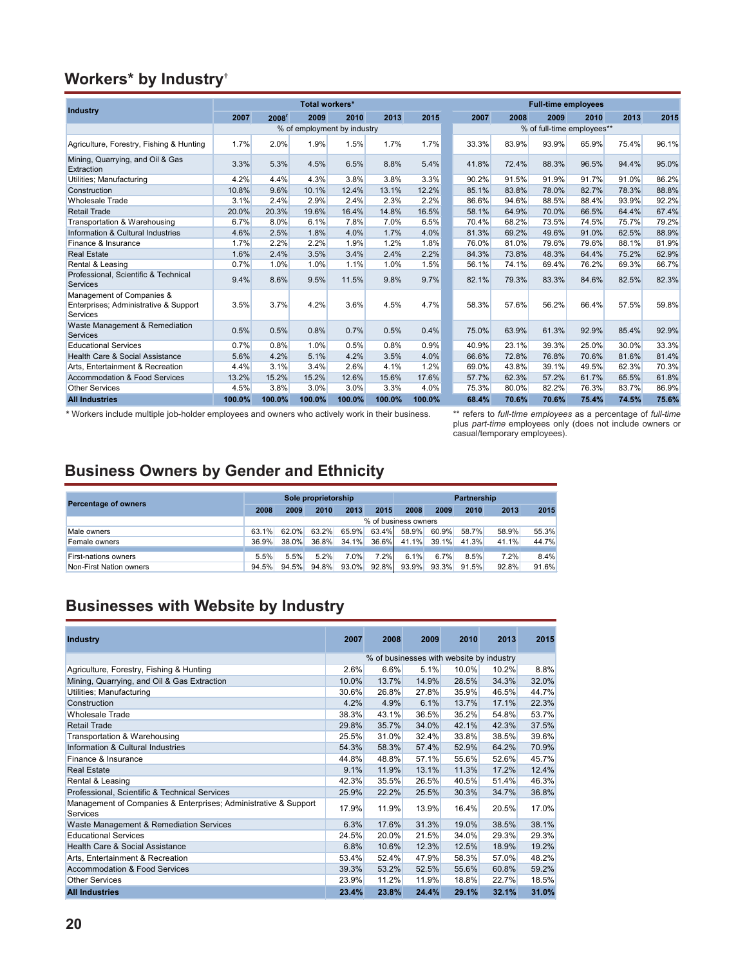### **Workers\* by Industry†**

|                                                                                |        |        | Total workers* |                             |        |        |       |       | <b>Full-time employees</b> |                            |       |       |
|--------------------------------------------------------------------------------|--------|--------|----------------|-----------------------------|--------|--------|-------|-------|----------------------------|----------------------------|-------|-------|
| <b>Industry</b>                                                                | 2007   | 2008'  | 2009           | 2010                        | 2013   | 2015   | 2007  | 2008  | 2009                       | 2010                       | 2013  | 2015  |
|                                                                                |        |        |                | % of employment by industry |        |        |       |       |                            | % of full-time employees** |       |       |
| Agriculture, Forestry, Fishing & Hunting                                       | 1.7%   | 2.0%   | 1.9%           | 1.5%                        | 1.7%   | 1.7%   | 33.3% | 83.9% | 93.9%                      | 65.9%                      | 75.4% | 96.1% |
| Mining, Quarrying, and Oil & Gas<br>Extraction                                 | 3.3%   | 5.3%   | 4.5%           | 6.5%                        | 8.8%   | 5.4%   | 41.8% | 72.4% | 88.3%                      | 96.5%                      | 94.4% | 95.0% |
| Utilities; Manufacturing                                                       | 4.2%   | 4.4%   | 4.3%           | 3.8%                        | 3.8%   | 3.3%   | 90.2% | 91.5% | 91.9%                      | 91.7%                      | 91.0% | 86.2% |
| Construction                                                                   | 10.8%  | 9.6%   | 10.1%          | 12.4%                       | 13.1%  | 12.2%  | 85.1% | 83.8% | 78.0%                      | 82.7%                      | 78.3% | 88.8% |
| <b>Wholesale Trade</b>                                                         | 3.1%   | 2.4%   | 2.9%           | 2.4%                        | 2.3%   | 2.2%   | 86.6% | 94.6% | 88.5%                      | 88.4%                      | 93.9% | 92.2% |
| <b>Retail Trade</b>                                                            | 20.0%  | 20.3%  | 19.6%          | 16.4%                       | 14.8%  | 16.5%  | 58.1% | 64.9% | 70.0%                      | 66.5%                      | 64.4% | 67.4% |
| Transportation & Warehousing                                                   | 6.7%   | 8.0%   | 6.1%           | 7.8%                        | 7.0%   | 6.5%   | 70.4% | 68.2% | 73.5%                      | 74.5%                      | 75.7% | 79.2% |
| Information & Cultural Industries                                              | 4.6%   | 2.5%   | 1.8%           | 4.0%                        | 1.7%   | 4.0%   | 81.3% | 69.2% | 49.6%                      | 91.0%                      | 62.5% | 88.9% |
| Finance & Insurance                                                            | 1.7%   | 2.2%   | 2.2%           | 1.9%                        | 1.2%   | 1.8%   | 76.0% | 81.0% | 79.6%                      | 79.6%                      | 88.1% | 81.9% |
| <b>Real Estate</b>                                                             | 1.6%   | 2.4%   | 3.5%           | 3.4%                        | 2.4%   | 2.2%   | 84.3% | 73.8% | 48.3%                      | 64.4%                      | 75.2% | 62.9% |
| Rental & Leasing                                                               | 0.7%   | 1.0%   | 1.0%           | 1.1%                        | 1.0%   | 1.5%   | 56.1% | 74.1% | 69.4%                      | 76.2%                      | 69.3% | 66.7% |
| Professional, Scientific & Technical<br>Services                               | 9.4%   | 8.6%   | 9.5%           | 11.5%                       | 9.8%   | 9.7%   | 82.1% | 79.3% | 83.3%                      | 84.6%                      | 82.5% | 82.3% |
| Management of Companies &<br>Enterprises; Administrative & Support<br>Services | 3.5%   | 3.7%   | 4.2%           | 3.6%                        | 4.5%   | 4.7%   | 58.3% | 57.6% | 56.2%                      | 66.4%                      | 57.5% | 59.8% |
| Waste Management & Remediation<br>Services                                     | 0.5%   | 0.5%   | 0.8%           | 0.7%                        | 0.5%   | 0.4%   | 75.0% | 63.9% | 61.3%                      | 92.9%                      | 85.4% | 92.9% |
| <b>Educational Services</b>                                                    | 0.7%   | 0.8%   | 1.0%           | 0.5%                        | 0.8%   | 0.9%   | 40.9% | 23.1% | 39.3%                      | 25.0%                      | 30.0% | 33.3% |
| Health Care & Social Assistance                                                | 5.6%   | 4.2%   | 5.1%           | 4.2%                        | 3.5%   | 4.0%   | 66.6% | 72.8% | 76.8%                      | 70.6%                      | 81.6% | 81.4% |
| Arts, Entertainment & Recreation                                               | 4.4%   | 3.1%   | 3.4%           | 2.6%                        | 4.1%   | 1.2%   | 69.0% | 43.8% | 39.1%                      | 49.5%                      | 62.3% | 70.3% |
| <b>Accommodation &amp; Food Services</b>                                       | 13.2%  | 15.2%  | 15.2%          | 12.6%                       | 15.6%  | 17.6%  | 57.7% | 62.3% | 57.2%                      | 61.7%                      | 65.5% | 61.8% |
| <b>Other Services</b>                                                          | 4.5%   | 3.8%   | 3.0%           | 3.0%                        | 3.3%   | 4.0%   | 75.3% | 80.0% | 82.2%                      | 76.3%                      | 83.7% | 86.9% |
| <b>All Industries</b>                                                          | 100.0% | 100.0% | 100.0%         | 100.0%                      | 100.0% | 100.0% | 68.4% | 70.6% | 70.6%                      | 75.4%                      | 74.5% | 75.6% |

**\*** Workers include multiple job-holder employees and owners who actively work in their business. \*\* refers to *full-time employees* as a percentage of *full-time*

plus *part-time* employees only (does not include owners or casual/temporary employees).

## **Business Owners by Gender and Ethnicity**

| <b>Percentage of owners</b> |                      | Sole proprietorship |       | <b>Partnership</b> |       |       |       |       |       |       |  |  |
|-----------------------------|----------------------|---------------------|-------|--------------------|-------|-------|-------|-------|-------|-------|--|--|
|                             | 2008                 | 2009                | 2010  | 2013               | 2015  | 2008  | 2009  | 2010  | 2013  | 2015  |  |  |
|                             | % of business owners |                     |       |                    |       |       |       |       |       |       |  |  |
| Male owners                 | 63.1%                | 62.0%               | 63.2% | 65.9%              | 63.4% | 58.9% | 60.9% | 58.7% | 58.9% | 55.3% |  |  |
| Female owners               | 36.9%                | 38.0%               | 36.8% | $34.1\%$           | 36.6% | 41.1% | 39.1% | 41.3% | 41.1% | 44.7% |  |  |
|                             | 5.5%                 |                     | 5.2%  | 7.0%               | 7.2%  |       | 6.7%  | 8.5%  |       | 8.4%  |  |  |
| <b>First-nations owners</b> |                      | 5.5%                |       |                    |       | 6.1%  |       |       | 7.2%  |       |  |  |
| Non-First Nation owners     | 94.5%                | 94.5%               | 94.8% | 93.0%              | 92.8% | 93.9% | 93.3% | 91.5% | 92.8% | 91.6% |  |  |

## **Businesses with Website by Industry**

| <b>Industry</b>                                                             | 2007  | 2008  | 2009  | 2010                                     | 2013  | 2015  |
|-----------------------------------------------------------------------------|-------|-------|-------|------------------------------------------|-------|-------|
|                                                                             |       |       |       | % of businesses with website by industry |       |       |
| Agriculture, Forestry, Fishing & Hunting                                    | 2.6%  | 6.6%  | 5.1%  | 10.0%                                    | 10.2% | 8.8%  |
| Mining, Quarrying, and Oil & Gas Extraction                                 | 10.0% | 13.7% | 14.9% | 28.5%                                    | 34.3% | 32.0% |
| Utilities; Manufacturing                                                    | 30.6% | 26.8% | 27.8% | 35.9%                                    | 46.5% | 44.7% |
| Construction                                                                | 4.2%  | 4.9%  | 6.1%  | 13.7%                                    | 17.1% | 22.3% |
| <b>Wholesale Trade</b>                                                      | 38.3% | 43.1% | 36.5% | 35.2%                                    | 54.8% | 53.7% |
| <b>Retail Trade</b>                                                         | 29.8% | 35.7% | 34.0% | 42.1%                                    | 42.3% | 37.5% |
| Transportation & Warehousing                                                | 25.5% | 31.0% | 32.4% | 33.8%                                    | 38.5% | 39.6% |
| Information & Cultural Industries                                           | 54.3% | 58.3% | 57.4% | 52.9%                                    | 64.2% | 70.9% |
| Finance & Insurance                                                         | 44.8% | 48.8% | 57.1% | 55.6%                                    | 52.6% | 45.7% |
| <b>Real Estate</b>                                                          | 9.1%  | 11.9% | 13.1% | 11.3%                                    | 17.2% | 12.4% |
| Rental & Leasing                                                            | 42.3% | 35.5% | 26.5% | 40.5%                                    | 51.4% | 46.3% |
| Professional, Scientific & Technical Services                               | 25.9% | 22.2% | 25.5% | 30.3%                                    | 34.7% | 36.8% |
| Management of Companies & Enterprises; Administrative & Support<br>Services | 17.9% | 11.9% | 13.9% | 16.4%                                    | 20.5% | 17.0% |
| Waste Management & Remediation Services                                     | 6.3%  | 17.6% | 31.3% | 19.0%                                    | 38.5% | 38.1% |
| <b>Educational Services</b>                                                 | 24.5% | 20.0% | 21.5% | 34.0%                                    | 29.3% | 29.3% |
| Health Care & Social Assistance                                             | 6.8%  | 10.6% | 12.3% | 12.5%                                    | 18.9% | 19.2% |
| Arts, Entertainment & Recreation                                            | 53.4% | 52.4% | 47.9% | 58.3%                                    | 57.0% | 48.2% |
| <b>Accommodation &amp; Food Services</b>                                    | 39.3% | 53.2% | 52.5% | 55.6%                                    | 60.8% | 59.2% |
| <b>Other Services</b>                                                       | 23.9% | 11.2% | 11.9% | 18.8%                                    | 22.7% | 18.5% |
| <b>All Industries</b>                                                       | 23.4% | 23.8% | 24.4% | 29.1%                                    | 32.1% | 31.0% |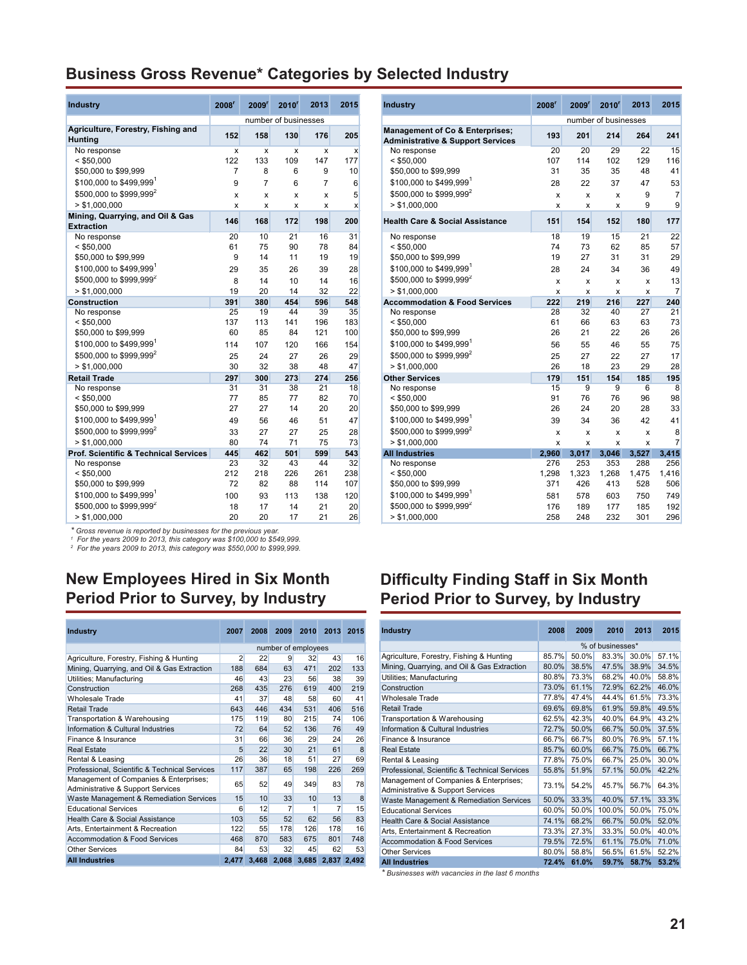### **Business Gross Revenue\* Categories by Selected Industry**

| <b>Industry</b>                                       | 2008 <sup>r</sup>         | 2009'                     | $2010^r$                  | 2013           | 2015                      | <b>Industry</b>                                                                            | 2008 <sup>r</sup> | 2009'                     | 2010'                     | 2013                      | 2015           |
|-------------------------------------------------------|---------------------------|---------------------------|---------------------------|----------------|---------------------------|--------------------------------------------------------------------------------------------|-------------------|---------------------------|---------------------------|---------------------------|----------------|
|                                                       |                           |                           | number of businesses      |                |                           |                                                                                            |                   |                           | number of businesses      |                           |                |
| Agriculture, Forestry, Fishing and<br><b>Hunting</b>  | 152                       | 158                       | 130                       | 176            | 205                       | <b>Management of Co &amp; Enterprises;</b><br><b>Administrative &amp; Support Services</b> | 193               | 201                       | 214                       | 264                       | 241            |
| No response                                           | $\boldsymbol{\mathsf{x}}$ | $\boldsymbol{\mathsf{x}}$ | $\boldsymbol{\mathsf{x}}$ | X              | $\boldsymbol{\mathsf{x}}$ | No response                                                                                | 20                | 20                        | 29                        | 22                        | 15             |
| $<$ \$50,000                                          | 122                       | 133                       | 109                       | 147            | 177                       | $<$ \$50,000                                                                               | 107               | 114                       | 102                       | 129                       | 116            |
| \$50,000 to \$99,999                                  | $\overline{7}$            | 8                         | 6                         | 9              | 10                        | \$50,000 to \$99,999                                                                       | 31                | 35                        | 35                        | 48                        | 41             |
| \$100,000 to \$499,999                                | 9                         | $\overline{7}$            | 6                         | $\overline{7}$ | 6                         | \$100,000 to \$499,999                                                                     | 28                | 22                        | 37                        | 47                        | 53             |
| \$500,000 to \$999,999 <sup>2</sup>                   | X                         | $\mathsf{x}$              | $\boldsymbol{\mathsf{x}}$ | $\mathsf{x}$   | 5                         | \$500,000 to \$999,999 <sup>2</sup>                                                        | X                 | $\boldsymbol{\mathsf{x}}$ | $\boldsymbol{\mathsf{x}}$ | 9                         | $\overline{7}$ |
| > \$1.000.000                                         | $\boldsymbol{\mathsf{x}}$ | X                         | X                         | X              | X                         | > \$1.000.000                                                                              | X                 | X                         | X                         | 9                         | g              |
| Mining, Quarrying, and Oil & Gas<br><b>Extraction</b> | 146                       | 168                       | 172                       | 198            | 200                       | <b>Health Care &amp; Social Assistance</b>                                                 | 151               | 154                       | 152                       | 180                       | 177            |
| No response                                           | 20                        | 10                        | 21                        | 16             | 31                        | No response                                                                                | 18                | 19                        | 15                        | 21                        | 22             |
| $<$ \$50,000                                          | 61                        | 75                        | 90                        | 78             | 84                        | $<$ \$50,000                                                                               | 74                | 73                        | 62                        | 85                        | 57             |
| \$50,000 to \$99,999                                  | 9                         | 14                        | 11                        | 19             | 19                        | \$50,000 to \$99,999                                                                       | 19                | 27                        | 31                        | 31                        | 29             |
| \$100,000 to \$499.999                                | 29                        | 35                        | 26                        | 39             | 28                        | \$100,000 to \$499.999                                                                     | 28                | 24                        | 34                        | 36                        | 49             |
| \$500,000 to \$999,999 <sup>2</sup>                   | 8                         | 14                        | 10                        | 14             | 16                        | \$500,000 to \$999,999 <sup>2</sup>                                                        | X                 | X                         | $\boldsymbol{\mathsf{x}}$ | X                         | 13             |
| > \$1,000,000                                         | 19                        | 20                        | 14                        | 32             | 22                        | > \$1.000.000                                                                              | X                 | X                         | X                         | $\boldsymbol{\mathsf{x}}$ | $\overline{7}$ |
| <b>Construction</b>                                   | 391                       | 380                       | 454                       | 596            | 548                       | <b>Accommodation &amp; Food Services</b>                                                   | 222               | 219                       | 216                       | 227                       | 240            |
| No response                                           | 25                        | 19                        | 44                        | 39             | 35                        | No response                                                                                | 28                | 32                        | 40                        | 27                        | 21             |
| $<$ \$50,000                                          | 137                       | 113                       | 141                       | 196            | 183                       | $<$ \$50,000                                                                               | 61                | 66                        | 63                        | 63                        | 73             |
| \$50,000 to \$99,999                                  | 60                        | 85                        | 84                        | 121            | 100                       | \$50,000 to \$99,999                                                                       | 26                | 21                        | 22                        | 26                        | 26             |
| \$100,000 to \$499.999                                | 114                       | 107                       | 120                       | 166            | 154                       | \$100,000 to \$499.999 <sup>1</sup>                                                        | 56                | 55                        | 46                        | 55                        | 75             |
| \$500,000 to \$999,999 <sup>2</sup>                   | 25                        | 24                        | 27                        | 26             | 29                        | \$500,000 to \$999,999 <sup>2</sup>                                                        | 25                | 27                        | 22                        | 27                        | 17             |
| > \$1,000,000                                         | 30                        | 32                        | 38                        | 48             | 47                        | > \$1,000,000                                                                              | 26                | 18                        | 23                        | 29                        | 28             |
| <b>Retail Trade</b>                                   | 297                       | 300                       | 273                       | 274            | 256                       | <b>Other Services</b>                                                                      | 179               | 151                       | 154                       | 185                       | 195            |
| No response                                           | 31                        | 31                        | 38                        | 21             | 18                        | No response                                                                                | 15                | 9                         | 9                         | 6                         | 8              |
| $<$ \$50,000                                          | 77                        | 85                        | 77                        | 82             | 70                        | $<$ \$50,000                                                                               | 91                | 76                        | 76                        | 96                        | 98             |
| \$50,000 to \$99,999                                  | 27                        | 27                        | 14                        | 20             | 20                        | \$50,000 to \$99,999                                                                       | 26                | 24                        | 20                        | 28                        | 33             |
| \$100,000 to \$499.999                                | 49                        | 56                        | 46                        | 51             | 47                        | \$100,000 to \$499.999                                                                     | 39                | 34                        | 36                        | 42                        | 41             |
| \$500,000 to \$999,999 <sup>2</sup>                   | 33                        | 27                        | 27                        | 25             | 28                        | \$500,000 to \$999,999 <sup>2</sup>                                                        | x                 | X                         | X                         | x                         | 8              |
| > \$1.000.000                                         | 80                        | 74                        | 71                        | 75             | 73                        | > \$1,000,000                                                                              | x                 | x                         | X                         | $\pmb{\times}$            | $\overline{7}$ |
| <b>Prof. Scientific &amp; Technical Services</b>      | 445                       | 462                       | 501                       | 599            | 543                       | <b>All Industries</b>                                                                      | 2.960             | 3.017                     | 3.046                     | 3,527                     | 3.415          |
| No response                                           | 23                        | 32                        | 43                        | 44             | 32                        | No response                                                                                | 276               | 253                       | 353                       | 288                       | 256            |
| $<$ \$50,000                                          | 212                       | 218                       | 226                       | 261            | 238                       | $<$ \$50,000                                                                               | 1,298             | 1,323                     | 1,268                     | 1,475                     | 1.416          |
| \$50,000 to \$99,999                                  | 72                        | 82                        | 88                        | 114            | 107                       | \$50,000 to \$99,999                                                                       | 371               | 426                       | 413                       | 528                       | 506            |
| \$100,000 to \$499,999                                | 100                       | 93                        | 113                       | 138            | 120                       | \$100,000 to \$499,999                                                                     | 581               | 578                       | 603                       | 750                       | 749            |
| \$500,000 to \$999,999 <sup>2</sup>                   | 18                        | 17                        | 14                        | 21             | 20                        | \$500,000 to \$999,999 <sup>2</sup>                                                        | 176               | 189                       | 177                       | 185                       | 192            |
| > \$1,000,000                                         | 20                        | 20                        | 17                        | 21             | 26                        | > \$1,000,000                                                                              | 258               | 248                       | 232                       | 301                       | 296            |

\* Gross revenue is reported by businesses for the previous year.<br><sup>1</sup> For the years 2009 to 2013, this category was \$100,000 to \$549,999.<br><sup>2</sup> For the years 2009 to 2013, this category was \$550,000 to \$999,999.

### **New Employees Hired in Six Month Period Prior to Survey, by Industry**

| <b>Industry</b>                                                             | 2007           | 2008  | 2009  | 2010                | 2013  | 2015         |
|-----------------------------------------------------------------------------|----------------|-------|-------|---------------------|-------|--------------|
|                                                                             |                |       |       | number of employees |       |              |
| Agriculture, Forestry, Fishing & Hunting                                    | $\overline{2}$ | 22    | 9     | 32                  | 43    | 16           |
| Mining, Quarrying, and Oil & Gas Extraction                                 | 188            | 684   | 63    | 471                 | 202   | 133          |
| Utilities; Manufacturing                                                    | 46             | 43    | 23    | 56                  | 38    | 39           |
| Construction                                                                | 268            | 435   | 276   | 619                 | 400   | 219          |
| <b>Wholesale Trade</b>                                                      | 41             | 37    | 48    | 58                  | 60    | 41           |
| Retail Trade                                                                | 643            | 446   | 434   | 531                 | 406   | 516          |
| Transportation & Warehousing                                                | 175            | 119   | 80    | 215                 | 74    | 106          |
| Information & Cultural Industries                                           | 72             | 64    | 52    | 136                 | 76    | 49           |
| Finance & Insurance                                                         | 31             | 66    | 36    | 29                  | 24    | 26           |
| <b>Real Estate</b>                                                          | 5              | 22    | 30    | 21                  | 61    | $\mathsf{R}$ |
| Rental & Leasing                                                            | 26             | 36    | 18    | 51                  | 27    | 69           |
| Professional, Scientific & Technical Services                               | 117            | 387   | 65    | 198                 | 226   | 269          |
| Management of Companies & Enterprises;<br>Administrative & Support Services | 65             | 52    | 49    | 349                 | 83    | 78           |
| Waste Management & Remediation Services                                     | 15             | 10    | 33    | 10                  | 13    | 8            |
| <b>Educational Services</b>                                                 | 6              | 12    | 7     | 1                   | 7     | 15           |
| <b>Health Care &amp; Social Assistance</b>                                  | 103            | 55    | 52    | 62                  | 56    | 83           |
| Arts, Entertainment & Recreation                                            | 122            | 55    | 178   | 126                 | 178   | 16           |
| <b>Accommodation &amp; Food Services</b>                                    | 468            | 870   | 583   | 675                 | 801   | 748          |
| <b>Other Services</b>                                                       | 84             | 53    | 32    | 45                  | 62    | 53           |
| <b>All Industries</b>                                                       | 2.477          | 3,468 | 2,068 | 3,685               | 2.837 | 2.492        |

| Industry                                         | 2008 <sup>r</sup> | 2009 <sup>r</sup> | 2010'                     | 2013           | 2015 | <b>Industry</b>                                                                            | 2008 <sup>r</sup> | 2009  | $2010$ <sup>r</sup>       | 2013           | 2015           |
|--------------------------------------------------|-------------------|-------------------|---------------------------|----------------|------|--------------------------------------------------------------------------------------------|-------------------|-------|---------------------------|----------------|----------------|
|                                                  |                   |                   |                           |                |      |                                                                                            |                   |       |                           |                |                |
|                                                  |                   |                   | number of businesses      |                |      |                                                                                            |                   |       | number of businesses      |                |                |
| Agriculture, Forestry, Fishing and<br>Hunting    | 152               | 158               | 130                       | 176            | 205  | <b>Management of Co &amp; Enterprises;</b><br><b>Administrative &amp; Support Services</b> | 193               | 201   | 214                       | 264            | 241            |
| No response                                      | x                 | x                 | $\boldsymbol{\mathsf{x}}$ | x              | x    | No response                                                                                | 20                | 20    | 29                        | 22             | 15             |
| $<$ \$50,000                                     | 122               | 133               | 109                       | 147            | 177  | $<$ \$50,000                                                                               | 107               | 114   | 102                       | 129            | 116            |
| \$50,000 to \$99,999                             | $\overline{7}$    | 8                 | 6                         | 9              | 10   | \$50,000 to \$99,999                                                                       | 31                | 35    | 35                        | 48             | 41             |
| \$100,000 to \$499,999                           | 9                 | $\overline{7}$    | 6                         | $\overline{7}$ | 6    | \$100,000 to \$499,999                                                                     | 28                | 22    | 37                        | 47             | 53             |
| \$500,000 to \$999.999 <sup>2</sup>              | x                 | x                 | X                         | x              | 5    | \$500,000 to \$999,999 <sup>2</sup>                                                        | X                 | x     | X                         | 9              | $\overline{7}$ |
| > \$1,000,000                                    | $\mathsf{x}$      | X                 | X                         | x              | X    | > \$1,000,000                                                                              | X                 | X     | $\boldsymbol{\mathsf{x}}$ | 9              | 9              |
| Mining, Quarrying, and Oil & Gas<br>Extraction   | 146               | 168               | 172                       | 198            | 200  | <b>Health Care &amp; Social Assistance</b>                                                 | 151               | 154   | 152                       | 180            | 177            |
| No response                                      | 20                | 10                | 21                        | 16             | 31   | No response                                                                                | 18                | 19    | 15                        | 21             | 22             |
| $<$ \$50,000                                     | 61                | 75                | 90                        | 78             | 84   | $<$ \$50.000                                                                               | 74                | 73    | 62                        | 85             | 57             |
| \$50,000 to \$99,999                             | 9                 | 14                | 11                        | 19             | 19   | \$50,000 to \$99,999                                                                       | 19                | 27    | 31                        | 31             | 29             |
| \$100,000 to \$499,999                           | 29                | 35                | 26                        | 39             | 28   | \$100,000 to \$499.999                                                                     | 28                | 24    | 34                        | 36             | 49             |
| \$500,000 to \$999,999 <sup>2</sup>              | 8                 | 14                | 10                        | 14             | 16   | \$500,000 to \$999,999 <sup>2</sup>                                                        | X                 | X     | x                         | X              | 13             |
| > \$1,000,000                                    | 19                | 20                | 14                        | 32             | 22   | > \$1,000,000                                                                              | x                 | x     | x                         | $\pmb{\times}$ | $\overline{7}$ |
| Construction                                     | 391               | 380               | 454                       | 596            | 548  | <b>Accommodation &amp; Food Services</b>                                                   | 222               | 219   | 216                       | 227            | 240            |
| No response                                      | 25                | 19                | 44                        | 39             | 35   | No response                                                                                | 28                | 32    | 40                        | 27             | 21             |
| $<$ \$50,000                                     | 137               | 113               | 141                       | 196            | 183  | $<$ \$50,000                                                                               | 61                | 66    | 63                        | 63             | 73             |
| \$50,000 to \$99,999                             | 60                | 85                | 84                        | 121            | 100  | \$50,000 to \$99,999                                                                       | 26                | 21    | 22                        | 26             | 26             |
| \$100,000 to \$499,999                           | 114               | 107               | 120                       | 166            | 154  | \$100,000 to \$499,999                                                                     | 56                | 55    | 46                        | 55             | 75             |
| \$500,000 to \$999,999 <sup>2</sup>              | 25                | 24                | 27                        | 26             | 29   | \$500,000 to \$999,999 <sup>2</sup>                                                        | 25                | 27    | 22                        | 27             | 17             |
| > \$1,000,000                                    | 30                | 32                | 38                        | 48             | 47   | > \$1.000.000                                                                              | 26                | 18    | 23                        | 29             | 28             |
| <b>Retail Trade</b>                              | 297               | 300               | 273                       | 274            | 256  | <b>Other Services</b>                                                                      | 179               | 151   | 154                       | 185            | 195            |
| No response                                      | 31                | 31                | 38                        | 21             | 18   | No response                                                                                | 15                | 9     | 9                         | 6              | 8              |
| $<$ \$50,000                                     | 77                | 85                | 77                        | 82             | 70   | $<$ \$50,000                                                                               | 91                | 76    | 76                        | 96             | 98             |
| \$50,000 to \$99,999                             | 27                | 27                | 14                        | 20             | 20   | \$50,000 to \$99,999                                                                       | 26                | 24    | 20                        | 28             | 33             |
| \$100,000 to \$499,999                           | 49                | 56                | 46                        | 51             | 47   | \$100,000 to \$499,999                                                                     | 39                | 34    | 36                        | 42             | 41             |
| \$500,000 to \$999,999 <sup>2</sup>              | 33                | 27                | 27                        | 25             | 28   | \$500,000 to \$999.999 <sup>2</sup>                                                        | x                 | X     | x                         | x              | 8              |
| > \$1,000,000                                    | 80                | 74                | 71                        | 75             | 73   | > \$1,000,000                                                                              | x                 | X     | x                         | x              | $\overline{7}$ |
| <b>Prof. Scientific &amp; Technical Services</b> | 445               | 462               | 501                       | 599            | 543  | <b>All Industries</b>                                                                      | 2.960             | 3.017 | 3.046                     | 3.527          | 3,415          |
| No response                                      | 23                | 32                | 43                        | 44             | 32   | No response                                                                                | 276               | 253   | 353                       | 288            | 256            |
| $<$ \$50,000                                     | 212               | 218               | 226                       | 261            | 238  | $<$ \$50,000                                                                               | 1,298             | 1,323 | 1,268                     | 1,475          | 1,416          |
| \$50,000 to \$99,999                             | 72                | 82                | 88                        | 114            | 107  | \$50,000 to \$99,999                                                                       | 371               | 426   | 413                       | 528            | 506            |
| \$100,000 to \$499,999                           | 100               | 93                | 113                       | 138            | 120  | \$100,000 to \$499,999                                                                     | 581               | 578   | 603                       | 750            | 749            |
| \$500,000 to \$999.999 <sup>2</sup>              | 18                | 17                | 14                        | 21             | 20   | \$500,000 to \$999,999 <sup>2</sup>                                                        | 176               | 189   | 177                       | 185            | 192            |
| > \$1,000,000                                    | 20                | 20                | 17                        | 21             | 26   | > \$1,000,000                                                                              | 258               | 248   | 232                       | 301            | 296            |

### **Difficulty Finding Staff in Six Month Period Prior to Survey, by Industry**

| <b>Industry</b>                                                             | 2008  | 2009  | 2010             | 2013  | 2015  |
|-----------------------------------------------------------------------------|-------|-------|------------------|-------|-------|
|                                                                             |       |       | % of businesses* |       |       |
| Agriculture, Forestry, Fishing & Hunting                                    | 85.7% | 50.0% | 83.3%            | 30.0% | 57.1% |
| Mining, Quarrying, and Oil & Gas Extraction                                 | 80.0% | 38.5% | 47.5%            | 38.9% | 34.5% |
| Utilities; Manufacturing                                                    | 80.8% | 73.3% | 68.2%            | 40.0% | 58.8% |
| Construction                                                                | 73.0% | 61.1% | 72.9%            | 62.2% | 46.0% |
| <b>Wholesale Trade</b>                                                      | 77.8% | 47.4% | 44.4%            | 61.5% | 73.3% |
| <b>Retail Trade</b>                                                         | 69.6% | 69.8% | 61.9%            | 59.8% | 49.5% |
| Transportation & Warehousing                                                | 62.5% | 42.3% | 40.0%            | 64.9% | 43.2% |
| Information & Cultural Industries                                           | 72.7% | 50.0% | 66.7%            | 50.0% | 37.5% |
| Finance & Insurance                                                         | 66.7% | 66.7% | 80.0%            | 76.9% | 57.1% |
| <b>Real Estate</b>                                                          | 85.7% | 60.0% | 66.7%            | 75.0% | 66.7% |
| Rental & Leasing                                                            | 77.8% | 75.0% | 66.7%            | 25.0% | 30.0% |
| Professional, Scientific & Technical Services                               | 55.8% | 51.9% | 57.1%            | 50.0% | 42.2% |
| Management of Companies & Enterprises;<br>Administrative & Support Services | 73.1% | 54.2% | 45.7%            | 56.7% | 64.3% |
| Waste Management & Remediation Services                                     | 50.0% | 33.3% | 40.0%            | 57.1% | 33.3% |
| <b>Educational Services</b>                                                 | 60.0% | 50.0% | 100.0%           | 50.0% | 75.0% |
| <b>Health Care &amp; Social Assistance</b>                                  | 74.1% | 68.2% | 66.7%            | 50.0% | 52.0% |
| Arts, Entertainment & Recreation                                            | 73.3% | 27.3% | 33.3%            | 50.0% | 40.0% |
| <b>Accommodation &amp; Food Services</b>                                    | 79.5% | 72.5% | 61.1%            | 75.0% | 71.0% |
| <b>Other Services</b>                                                       | 80.0% | 58.8% | 56.5%            | 61.5% | 52.2% |
| <b>All Industries</b>                                                       | 72.4% | 61.0% | 59.7%            | 58.7% | 53.2% |

*\* Businesses with vacancies in the last 6 months*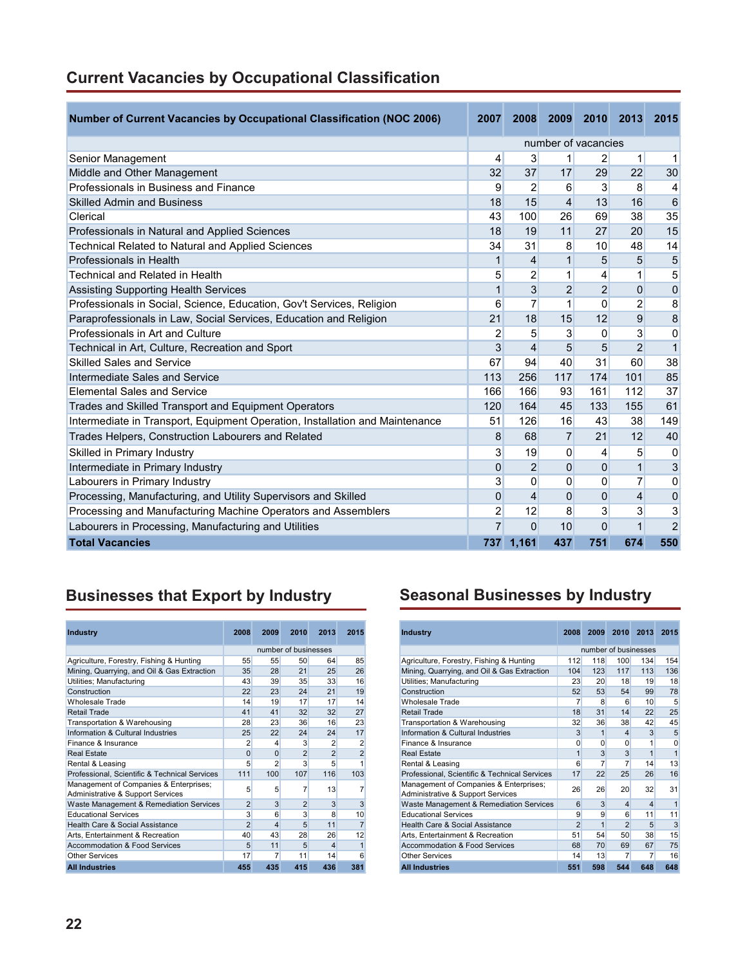|  |  |  | <b>Current Vacancies by Occupational Classification</b> |  |
|--|--|--|---------------------------------------------------------|--|
|--|--|--|---------------------------------------------------------|--|

| <b>Number of Current Vacancies by Occupational Classification (NOC 2006)</b> | 2007           | 2008           | 2009           | 2010                | 2013           | 2015           |
|------------------------------------------------------------------------------|----------------|----------------|----------------|---------------------|----------------|----------------|
|                                                                              |                |                |                | number of vacancies |                |                |
| Senior Management                                                            | 4              | 3              | 1              | $\overline{2}$      | 1              | 1              |
| Middle and Other Management                                                  | 32             | 37             | 17             | 29                  | 22             | 30             |
| Professionals in Business and Finance                                        | 9              | $\overline{2}$ | 6              | 3                   | 8              | 4              |
| <b>Skilled Admin and Business</b>                                            | 18             | 15             | $\overline{4}$ | 13                  | 16             | 6              |
| Clerical                                                                     | 43             | 100            | 26             | 69                  | 38             | 35             |
| Professionals in Natural and Applied Sciences                                | 18             | 19             | 11             | 27                  | 20             | 15             |
| Technical Related to Natural and Applied Sciences                            | 34             | 31             | 8              | 10                  | 48             | 14             |
| Professionals in Health                                                      | $\mathbf{1}$   | 4              | 1              | 5                   | 5              | 5              |
| Technical and Related in Health                                              | 5              | 2              | 1              | 4                   | 1              | 5              |
| <b>Assisting Supporting Health Services</b>                                  | $\mathbf{1}$   | 3              | $\overline{2}$ | $\overline{2}$      | $\mathbf 0$    | $\mathbf 0$    |
| Professionals in Social, Science, Education, Gov't Services, Religion        | 6              | $\overline{7}$ | 1              | $\Omega$            | $\overline{2}$ | 8              |
| Paraprofessionals in Law, Social Services, Education and Religion            | 21             | 18             | 15             | 12                  | 9              | $\overline{8}$ |
| Professionals in Art and Culture                                             | 2              | 5              | 3              | 0                   | 3              | $\mathbf 0$    |
| Technical in Art, Culture, Recreation and Sport                              | 3              | $\overline{4}$ | 5              | 5                   | $\overline{2}$ | $\mathbf{1}$   |
| <b>Skilled Sales and Service</b>                                             | 67             | 94             | 40             | 31                  | 60             | 38             |
| Intermediate Sales and Service                                               | 113            | 256            | 117            | 174                 | 101            | 85             |
| <b>Elemental Sales and Service</b>                                           | 166            | 166            | 93             | 161                 | 112            | 37             |
| Trades and Skilled Transport and Equipment Operators                         | 120            | 164            | 45             | 133                 | 155            | 61             |
| Intermediate in Transport, Equipment Operation, Installation and Maintenance | 51             | 126            | 16             | 43                  | 38             | 149            |
| Trades Helpers, Construction Labourers and Related                           | 8              | 68             | $\overline{7}$ | 21                  | 12             | 40             |
| Skilled in Primary Industry                                                  | 3              | 19             | 0              | 4                   | 5              | 0              |
| Intermediate in Primary Industry                                             | $\mathbf{0}$   | $\overline{2}$ | 0              | $\mathbf{0}$        | $\mathbf{1}$   | 3              |
| Labourers in Primary Industry                                                | 3              | $\Omega$       | 0              | $\mathbf{0}$        | $\overline{7}$ | $\mathbf 0$    |
| Processing, Manufacturing, and Utility Supervisors and Skilled               | $\mathbf{0}$   | $\overline{4}$ | $\Omega$       | $\Omega$            | $\overline{4}$ | $\mathbf 0$    |
| Processing and Manufacturing Machine Operators and Assemblers                | $\overline{2}$ | 12             | 8              | 3                   | 3              | 3              |
| Labourers in Processing, Manufacturing and Utilities                         | $\overline{7}$ | $\Omega$       | 10             | $\Omega$            | 1              | $\overline{2}$ |
| <b>Total Vacancies</b>                                                       |                | 737 1,161      | 437            | 751                 | 674            | 550            |

# **Businesses that Export by Industry Seasonal Businesses by Industry**

| <b>Industry</b>                                                             | 2008           | 2009           | 2010                 | 2013           | 2015           |
|-----------------------------------------------------------------------------|----------------|----------------|----------------------|----------------|----------------|
|                                                                             |                |                | number of businesses |                |                |
| Agriculture, Forestry, Fishing & Hunting                                    | 55             | 55             | 50                   | 64             | 85             |
| Mining, Quarrying, and Oil & Gas Extraction                                 | 35             | 28             | 21                   | 25             | 26             |
| Utilities; Manufacturing                                                    | 43             | 39             | 35                   | 33             | 16             |
| Construction                                                                | 22             | 23             | 24                   | 21             | 19             |
| <b>Wholesale Trade</b>                                                      | 14             | 19             | 17                   | 17             | 14             |
| Retail Trade                                                                | 41             | 41             | 32                   | 32             | 27             |
| Transportation & Warehousing                                                | 28             | 23             | 36                   | 16             | 23             |
| Information & Cultural Industries                                           | 25             | 22             | 24                   | 24             | 17             |
| Finance & Insurance                                                         | $\overline{2}$ | 4              | 3                    | $\overline{2}$ | $\overline{2}$ |
| <b>Real Estate</b>                                                          | $\Omega$       | $\Omega$       | $\overline{2}$       | $\overline{2}$ | $\overline{2}$ |
| Rental & Leasing                                                            | 5              | $\overline{2}$ | 3                    | 5              | 1              |
| Professional, Scientific & Technical Services                               | 111            | 100            | 107                  | 116            | 103            |
| Management of Companies & Enterprises;<br>Administrative & Support Services | 5              | 5              | 7                    | 13             | 7              |
| Waste Management & Remediation Services                                     | $\overline{2}$ | 3              | $\overline{2}$       | 3              | 3              |
| <b>Educational Services</b>                                                 | 3              | 6              | 3                    | 8              | 10             |
| Health Care & Social Assistance                                             | $\overline{2}$ | $\overline{4}$ | 5                    | 11             | $\overline{7}$ |
| Arts, Entertainment & Recreation                                            | 40             | 43             | 28                   | 26             | 12             |
| Accommodation & Food Services                                               | 5              | 11             | 5                    | 4              | 1              |
| <b>Other Services</b>                                                       | 17             | 7              | 11                   | 14             | 6              |
| <b>All Industries</b>                                                       | 455            | 435            | 415                  | 436            | 381            |

| <b>Industry</b>                                                             | 2008           | 2009         | 2010                    | 2013                    | 2015 |
|-----------------------------------------------------------------------------|----------------|--------------|-------------------------|-------------------------|------|
|                                                                             |                |              | number of businesses    |                         |      |
| Agriculture, Forestry, Fishing & Hunting                                    | 112            | 118          | 100                     | 134                     | 154  |
| Mining, Quarrying, and Oil & Gas Extraction                                 | 104            | 123          | 117                     | 113                     | 136  |
| Utilities; Manufacturing                                                    | 23             | 20           | 18                      | 19                      | 18   |
| Construction                                                                | 52             | 53           | 54                      | 99                      | 78   |
| <b>Wholesale Trade</b>                                                      | 7              | 8            | 6                       | 10                      | 5    |
| Retail Trade                                                                | 18             | 31           | 14                      | 22                      | 25   |
| Transportation & Warehousing                                                | 32             | 36           | 38                      | 42                      | 45   |
| Information & Cultural Industries                                           | 3              | $\mathbf{1}$ | $\overline{\mathbf{4}}$ | 3                       | 5    |
| Finance & Insurance                                                         | 0              | 0            | 0                       | 1                       | 0    |
| <b>Real Estate</b>                                                          | $\overline{1}$ | 3            | 3                       | $\mathbf{1}$            | 1    |
| Rental & Leasing                                                            | 6              | 7            | 7                       | 14                      | 13   |
| Professional, Scientific & Technical Services                               | 17             | 22           | 25                      | 26                      | 16   |
| Management of Companies & Enterprises;<br>Administrative & Support Services | 26             | 26           | 20                      | 32                      | 31   |
| Waste Management & Remediation Services                                     | 6              | 3            | $\overline{\mathbf{4}}$ | $\overline{\mathbf{4}}$ | 1    |
| <b>Educational Services</b>                                                 | 9              | 9            | 6                       | 11                      | 11   |
| Health Care & Social Assistance                                             | $\overline{2}$ | 1            | $\overline{2}$          | 5                       | 3    |
| Arts, Entertainment & Recreation                                            | 51             | 54           | 50                      | 38                      | 15   |
| <b>Accommodation &amp; Food Services</b>                                    | 68             | 70           | 69                      | 67                      | 75   |
| <b>Other Services</b>                                                       | 14             | 13           | 7                       | 7                       | 16   |
| <b>All Industries</b>                                                       | 551            | 598          | 544                     | 648                     | 648  |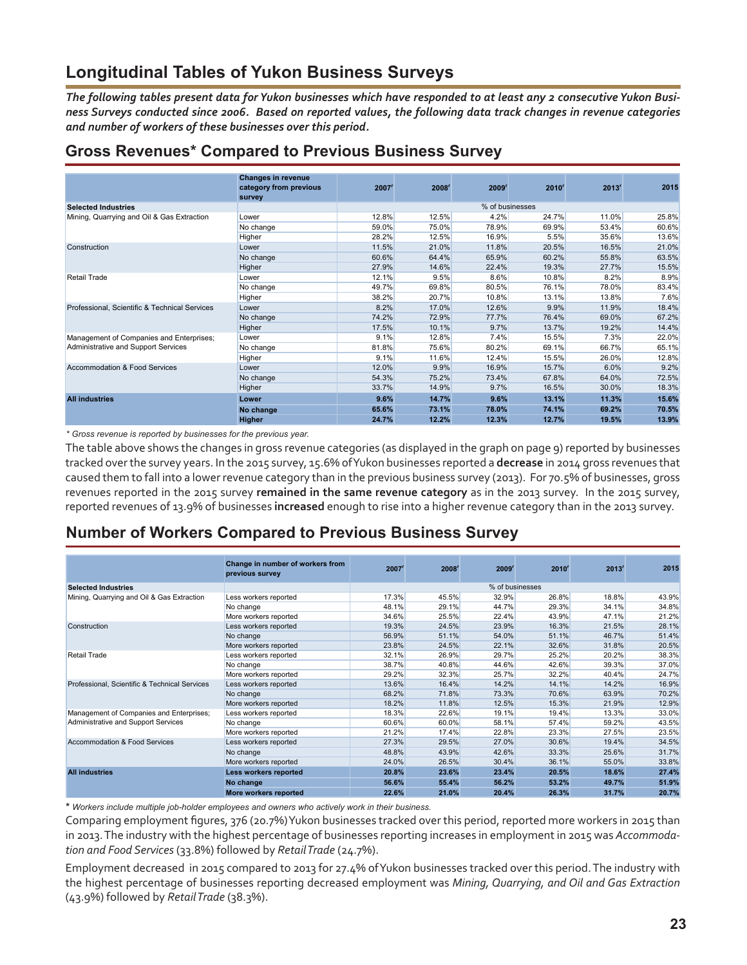## **Longitudinal Tables of Yukon Business Surveys**

*The following tables present data for Yukon businesses which have responded to at least any 2 consecutive Yukon Business Surveys conducted since 2006. Based on reported values, the following data track changes in revenue categories and number of workers of these businesses over this period.* 

### **Gross Revenues\* Compared to Previous Business Survey**

|                                               | <b>Changes in revenue</b> |                     |                   |                 |          |                   |       |
|-----------------------------------------------|---------------------------|---------------------|-------------------|-----------------|----------|-------------------|-------|
|                                               | category from previous    | $2007$ <sup>r</sup> | 2008 <sup>r</sup> | 2009'           | $2010^r$ | 2013 <sup>r</sup> | 2015  |
|                                               | survey                    |                     |                   |                 |          |                   |       |
| <b>Selected Industries</b>                    |                           |                     |                   | % of businesses |          |                   |       |
| Mining, Quarrying and Oil & Gas Extraction    | Lower                     | 12.8%               | 12.5%             | 4.2%            | 24.7%    | 11.0%             | 25.8% |
|                                               | No change                 | 59.0%               | 75.0%             | 78.9%           | 69.9%    | 53.4%             | 60.6% |
|                                               | Higher                    | 28.2%               | 12.5%             | 16.9%           | 5.5%     | 35.6%             | 13.6% |
| Construction                                  | Lower                     | 11.5%               | 21.0%             | 11.8%           | 20.5%    | 16.5%             | 21.0% |
|                                               | No change                 | 60.6%               | 64.4%             | 65.9%           | 60.2%    | 55.8%             | 63.5% |
|                                               | Higher                    | 27.9%               | 14.6%             | 22.4%           | 19.3%    | 27.7%             | 15.5% |
| Retail Trade                                  | Lower                     | 12.1%               | 9.5%              | 8.6%            | 10.8%    | 8.2%              | 8.9%  |
|                                               | No change                 | 49.7%               | 69.8%             | 80.5%           | 76.1%    | 78.0%             | 83.4% |
|                                               | Higher                    | 38.2%               | 20.7%             | 10.8%           | 13.1%    | 13.8%             | 7.6%  |
| Professional, Scientific & Technical Services | Lower                     | 8.2%                | 17.0%             | 12.6%           | 9.9%     | 11.9%             | 18.4% |
|                                               | No change                 | 74.2%               | 72.9%             | 77.7%           | 76.4%    | 69.0%             | 67.2% |
|                                               | Higher                    | 17.5%               | 10.1%             | 9.7%            | 13.7%    | 19.2%             | 14.4% |
| Management of Companies and Enterprises;      | Lower                     | 9.1%                | 12.8%             | 7.4%            | 15.5%    | 7.3%              | 22.0% |
| Administrative and Support Services           | No change                 | 81.8%               | 75.6%             | 80.2%           | 69.1%    | 66.7%             | 65.1% |
|                                               | Higher                    | 9.1%                | 11.6%             | 12.4%           | 15.5%    | 26.0%             | 12.8% |
| Accommodation & Food Services                 | Lower                     | 12.0%               | 9.9%              | 16.9%           | 15.7%    | 6.0%              | 9.2%  |
|                                               | No change                 | 54.3%               | 75.2%             | 73.4%           | 67.8%    | 64.0%             | 72.5% |
|                                               | Higher                    | 33.7%               | 14.9%             | 9.7%            | 16.5%    | 30.0%             | 18.3% |
| <b>All industries</b>                         | Lower                     | 9.6%                | 14.7%             | 9.6%            | 13.1%    | 11.3%             | 15.6% |
|                                               | No change                 | 65.6%               | 73.1%             | 78.0%           | 74.1%    | 69.2%             | 70.5% |
|                                               | <b>Higher</b>             | 24.7%               | 12.2%             | 12.3%           | 12.7%    | 19.5%             | 13.9% |

*\* Gross revenue is reported by businesses for the previous year.*

The table above shows the changes in gross revenue categories (as displayed in the graph on page 9) reported by businesses tracked over the survey years. In the 2015 survey, 15.6% of Yukon businesses reported a **decrease** in 2014 gross revenues that caused them to fall into a lower revenue category than in the previous business survey (2013). For 70.5% of businesses, gross revenues reported in the 2015 survey **remained in the same revenue category** as in the 2013 survey. In the 2015 survey, reported revenues of 13.9% of businesses **increased** enough to rise into a higher revenue category than in the 2013 survey.

### **Number of Workers Compared to Previous Business Survey**

|                                               | Change in number of workers from<br>previous survey | $2007$ <sup>r</sup> | 2008 <sup>r</sup> | 2009' | $2010^r$        | 2013' | 2015  |
|-----------------------------------------------|-----------------------------------------------------|---------------------|-------------------|-------|-----------------|-------|-------|
| <b>Selected Industries</b>                    |                                                     |                     |                   |       | % of businesses |       |       |
| Mining, Quarrying and Oil & Gas Extraction    | Less workers reported                               | 17.3%               | 45.5%             | 32.9% | 26.8%           | 18.8% | 43.9% |
|                                               | No change                                           | 48.1%               | 29.1%             | 44.7% | 29.3%           | 34.1% | 34.8% |
|                                               | More workers reported                               | 34.6%               | 25.5%             | 22.4% | 43.9%           | 47.1% | 21.2% |
| Construction                                  | Less workers reported                               | 19.3%               | 24.5%             | 23.9% | 16.3%           | 21.5% | 28.1% |
|                                               | No change                                           | 56.9%               | 51.1%             | 54.0% | 51.1%           | 46.7% | 51.4% |
|                                               | More workers reported                               | 23.8%               | 24.5%             | 22.1% | 32.6%           | 31.8% | 20.5% |
| Retail Trade                                  | Less workers reported                               | 32.1%               | 26.9%             | 29.7% | 25.2%           | 20.2% | 38.3% |
|                                               | No change                                           | 38.7%               | 40.8%             | 44.6% | 42.6%           | 39.3% | 37.0% |
|                                               | More workers reported                               | 29.2%               | 32.3%             | 25.7% | 32.2%           | 40.4% | 24.7% |
| Professional, Scientific & Technical Services | Less workers reported                               | 13.6%               | 16.4%             | 14.2% | 14.1%           | 14.2% | 16.9% |
|                                               | No change                                           | 68.2%               | 71.8%             | 73.3% | 70.6%           | 63.9% | 70.2% |
|                                               | More workers reported                               | 18.2%               | 11.8%             | 12.5% | 15.3%           | 21.9% | 12.9% |
| Management of Companies and Enterprises;      | Less workers reported                               | 18.3%               | 22.6%             | 19.1% | 19.4%           | 13.3% | 33.0% |
| Administrative and Support Services           | No change                                           | 60.6%               | 60.0%             | 58.1% | 57.4%           | 59.2% | 43.5% |
|                                               | More workers reported                               | 21.2%               | 17.4%             | 22.8% | 23.3%           | 27.5% | 23.5% |
| Accommodation & Food Services                 | Less workers reported                               | 27.3%               | 29.5%             | 27.0% | 30.6%           | 19.4% | 34.5% |
|                                               | No change                                           | 48.8%               | 43.9%             | 42.6% | 33.3%           | 25.6% | 31.7% |
|                                               | More workers reported                               | 24.0%               | 26.5%             | 30.4% | 36.1%           | 55.0% | 33.8% |
| <b>All industries</b>                         | Less workers reported                               | 20.8%               | 23.6%             | 23.4% | 20.5%           | 18.6% | 27.4% |
|                                               | No change                                           | 56.6%               | 55.4%             | 56.2% | 53.2%           | 49.7% | 51.9% |
|                                               | <b>More workers reported</b>                        | 22.6%               | 21.0%             | 20.4% | 26.3%           | 31.7% | 20.7% |

**\*** *Workers include multiple job-holder employees and owners who actively work in their business.*

Comparing employment figures, 376 (20.7%) Yukon businesses tracked over this period, reported more workers in 2015 than in 2013. The industry with the highest percentage of businesses reporting increases in employment in 2015 was *Accommodation and Food Services* (33.8%) followed by *Retail Trade* (24.7%).

Employment decreased in 2015 compared to 2013 for 27.4% of Yukon businesses tracked over this period. The industry with the highest percentage of businesses reporting decreased employment was *Mining, Quarrying, and Oil and Gas Extraction* (43.9%) followed by *Retail Trade* (38.3%).